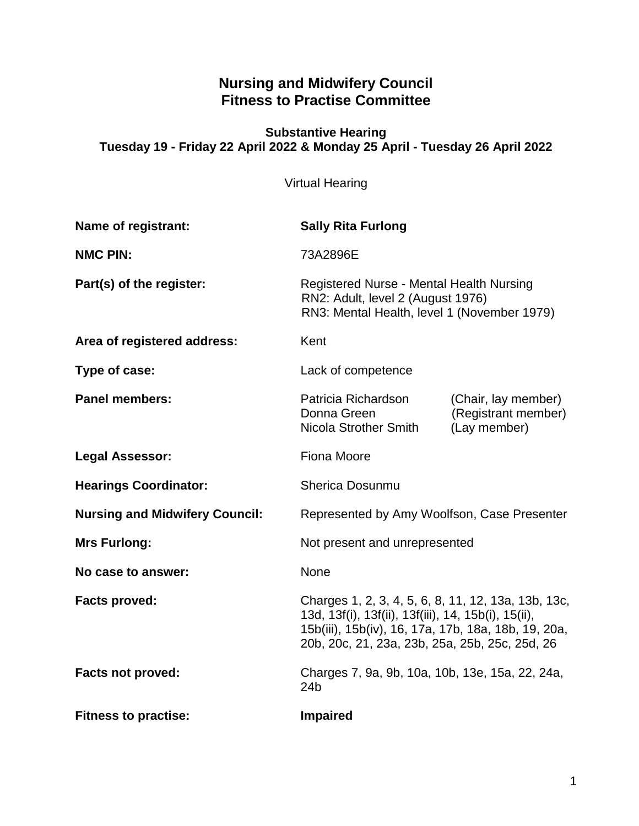# **Nursing and Midwifery Council Fitness to Practise Committee**

#### **Substantive Hearing Tuesday 19 - Friday 22 April 2022 & Monday 25 April - Tuesday 26 April 2022**

Virtual Hearing

| Name of registrant:                   | <b>Sally Rita Furlong</b>                                                                                                                                                                                           |                                                            |
|---------------------------------------|---------------------------------------------------------------------------------------------------------------------------------------------------------------------------------------------------------------------|------------------------------------------------------------|
| <b>NMC PIN:</b>                       | 73A2896E                                                                                                                                                                                                            |                                                            |
| Part(s) of the register:              | Registered Nurse - Mental Health Nursing<br>RN2: Adult, level 2 (August 1976)<br>RN3: Mental Health, level 1 (November 1979)                                                                                        |                                                            |
| Area of registered address:           | Kent                                                                                                                                                                                                                |                                                            |
| Type of case:                         | Lack of competence                                                                                                                                                                                                  |                                                            |
| <b>Panel members:</b>                 | Patricia Richardson<br>Donna Green<br><b>Nicola Strother Smith</b>                                                                                                                                                  | (Chair, lay member)<br>(Registrant member)<br>(Lay member) |
| <b>Legal Assessor:</b>                | <b>Fiona Moore</b>                                                                                                                                                                                                  |                                                            |
| <b>Hearings Coordinator:</b>          | <b>Sherica Dosunmu</b>                                                                                                                                                                                              |                                                            |
| <b>Nursing and Midwifery Council:</b> | Represented by Amy Woolfson, Case Presenter                                                                                                                                                                         |                                                            |
| <b>Mrs Furlong:</b>                   | Not present and unrepresented                                                                                                                                                                                       |                                                            |
| No case to answer:                    | None                                                                                                                                                                                                                |                                                            |
| <b>Facts proved:</b>                  | Charges 1, 2, 3, 4, 5, 6, 8, 11, 12, 13a, 13b, 13c,<br>13d, 13f(i), 13f(ii), 13f(iii), 14, 15b(i), 15(ii),<br>15b(iii), 15b(iv), 16, 17a, 17b, 18a, 18b, 19, 20a,<br>20b, 20c, 21, 23a, 23b, 25a, 25b, 25c, 25d, 26 |                                                            |
| <b>Facts not proved:</b>              | Charges 7, 9a, 9b, 10a, 10b, 13e, 15a, 22, 24a,<br>24 <sub>b</sub>                                                                                                                                                  |                                                            |
| <b>Fitness to practise:</b>           | <b>Impaired</b>                                                                                                                                                                                                     |                                                            |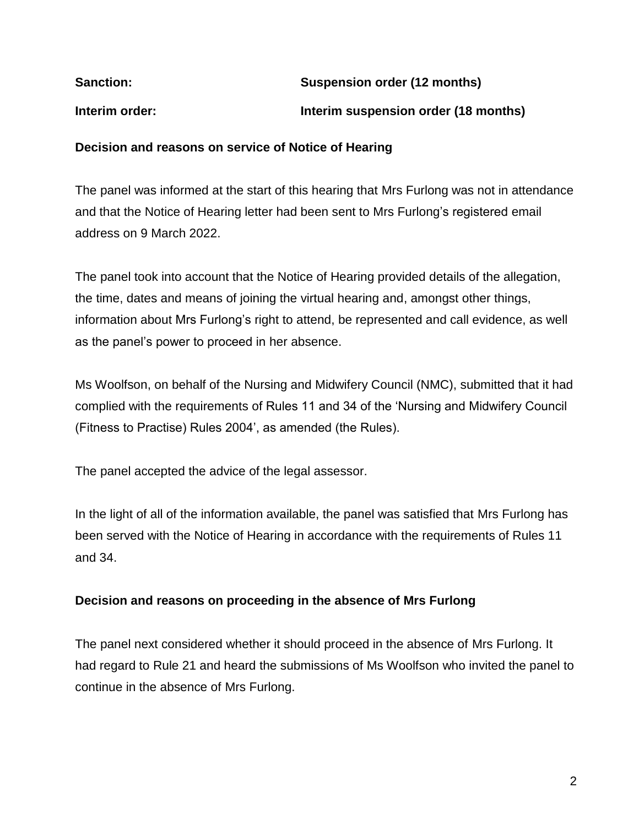| <b>Sanction:</b> | Suspension order (12 months)         |
|------------------|--------------------------------------|
| Interim order:   | Interim suspension order (18 months) |

#### **Decision and reasons on service of Notice of Hearing**

The panel was informed at the start of this hearing that Mrs Furlong was not in attendance and that the Notice of Hearing letter had been sent to Mrs Furlong's registered email address on 9 March 2022.

The panel took into account that the Notice of Hearing provided details of the allegation, the time, dates and means of joining the virtual hearing and, amongst other things, information about Mrs Furlong's right to attend, be represented and call evidence, as well as the panel's power to proceed in her absence.

Ms Woolfson, on behalf of the Nursing and Midwifery Council (NMC), submitted that it had complied with the requirements of Rules 11 and 34 of the 'Nursing and Midwifery Council (Fitness to Practise) Rules 2004', as amended (the Rules).

The panel accepted the advice of the legal assessor.

In the light of all of the information available, the panel was satisfied that Mrs Furlong has been served with the Notice of Hearing in accordance with the requirements of Rules 11 and 34.

### **Decision and reasons on proceeding in the absence of Mrs Furlong**

The panel next considered whether it should proceed in the absence of Mrs Furlong. It had regard to Rule 21 and heard the submissions of Ms Woolfson who invited the panel to continue in the absence of Mrs Furlong.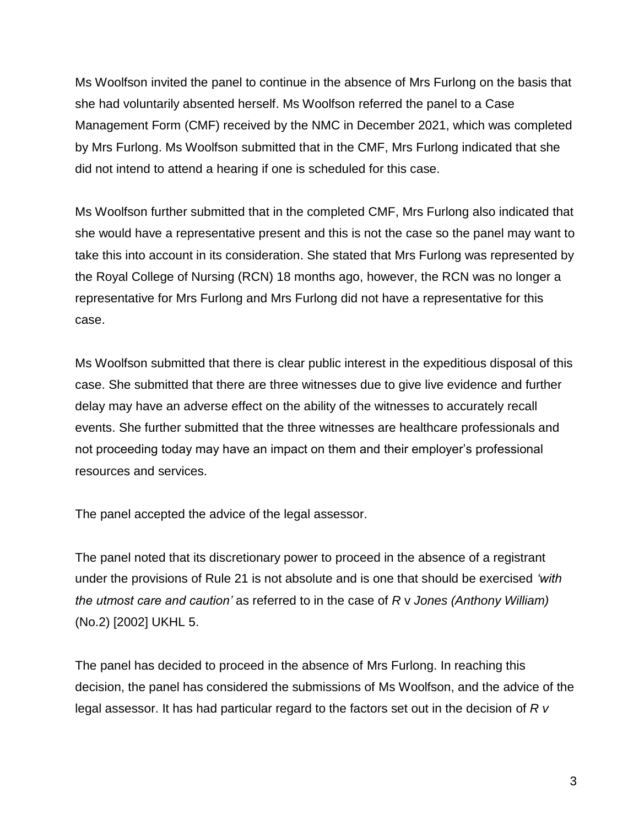Ms Woolfson invited the panel to continue in the absence of Mrs Furlong on the basis that she had voluntarily absented herself. Ms Woolfson referred the panel to a Case Management Form (CMF) received by the NMC in December 2021, which was completed by Mrs Furlong. Ms Woolfson submitted that in the CMF, Mrs Furlong indicated that she did not intend to attend a hearing if one is scheduled for this case.

Ms Woolfson further submitted that in the completed CMF, Mrs Furlong also indicated that she would have a representative present and this is not the case so the panel may want to take this into account in its consideration. She stated that Mrs Furlong was represented by the Royal College of Nursing (RCN) 18 months ago, however, the RCN was no longer a representative for Mrs Furlong and Mrs Furlong did not have a representative for this case.

Ms Woolfson submitted that there is clear public interest in the expeditious disposal of this case. She submitted that there are three witnesses due to give live evidence and further delay may have an adverse effect on the ability of the witnesses to accurately recall events. She further submitted that the three witnesses are healthcare professionals and not proceeding today may have an impact on them and their employer's professional resources and services.

The panel accepted the advice of the legal assessor.

The panel noted that its discretionary power to proceed in the absence of a registrant under the provisions of Rule 21 is not absolute and is one that should be exercised *'with the utmost care and caution'* as referred to in the case of *R* v *Jones (Anthony William)* (No.2) [2002] UKHL 5.

The panel has decided to proceed in the absence of Mrs Furlong. In reaching this decision, the panel has considered the submissions of Ms Woolfson, and the advice of the legal assessor. It has had particular regard to the factors set out in the decision of *R v*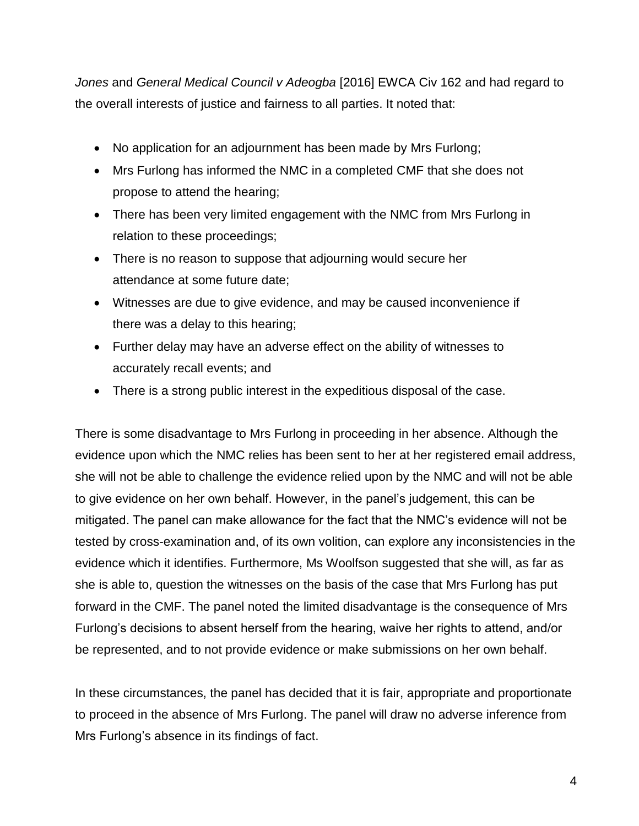*Jones* and *General Medical Council v Adeogba* [2016] EWCA Civ 162 and had regard to the overall interests of justice and fairness to all parties. It noted that:

- No application for an adjournment has been made by Mrs Furlong;
- Mrs Furlong has informed the NMC in a completed CMF that she does not propose to attend the hearing;
- There has been very limited engagement with the NMC from Mrs Furlong in relation to these proceedings;
- There is no reason to suppose that adjourning would secure her attendance at some future date;
- Witnesses are due to give evidence, and may be caused inconvenience if there was a delay to this hearing;
- Further delay may have an adverse effect on the ability of witnesses to accurately recall events; and
- There is a strong public interest in the expeditious disposal of the case.

There is some disadvantage to Mrs Furlong in proceeding in her absence. Although the evidence upon which the NMC relies has been sent to her at her registered email address, she will not be able to challenge the evidence relied upon by the NMC and will not be able to give evidence on her own behalf. However, in the panel's judgement, this can be mitigated. The panel can make allowance for the fact that the NMC's evidence will not be tested by cross-examination and, of its own volition, can explore any inconsistencies in the evidence which it identifies. Furthermore, Ms Woolfson suggested that she will, as far as she is able to, question the witnesses on the basis of the case that Mrs Furlong has put forward in the CMF. The panel noted the limited disadvantage is the consequence of Mrs Furlong's decisions to absent herself from the hearing, waive her rights to attend, and/or be represented, and to not provide evidence or make submissions on her own behalf.

In these circumstances, the panel has decided that it is fair, appropriate and proportionate to proceed in the absence of Mrs Furlong. The panel will draw no adverse inference from Mrs Furlong's absence in its findings of fact.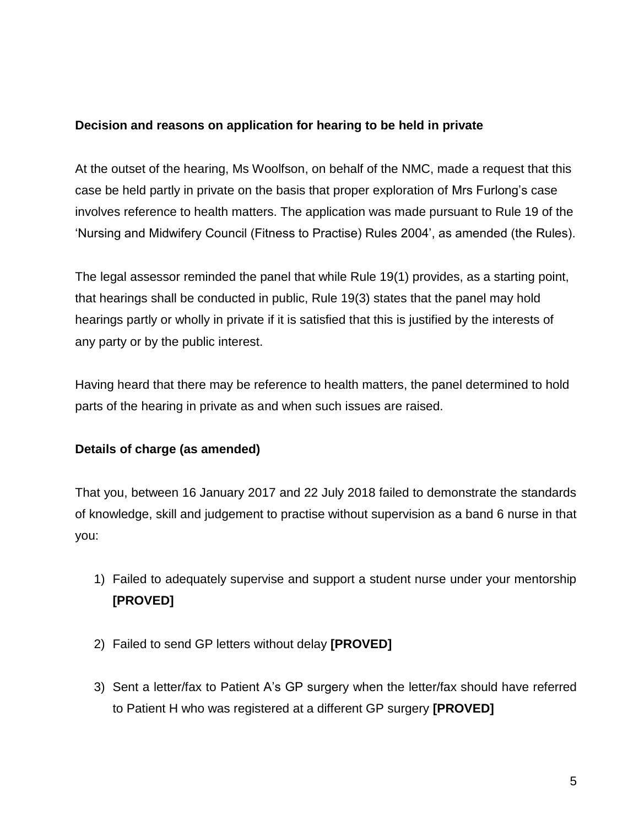#### **Decision and reasons on application for hearing to be held in private**

At the outset of the hearing, Ms Woolfson, on behalf of the NMC, made a request that this case be held partly in private on the basis that proper exploration of Mrs Furlong's case involves reference to health matters. The application was made pursuant to Rule 19 of the 'Nursing and Midwifery Council (Fitness to Practise) Rules 2004', as amended (the Rules).

The legal assessor reminded the panel that while Rule 19(1) provides, as a starting point, that hearings shall be conducted in public, Rule 19(3) states that the panel may hold hearings partly or wholly in private if it is satisfied that this is justified by the interests of any party or by the public interest.

Having heard that there may be reference to health matters, the panel determined to hold parts of the hearing in private as and when such issues are raised.

### **Details of charge (as amended)**

That you, between 16 January 2017 and 22 July 2018 failed to demonstrate the standards of knowledge, skill and judgement to practise without supervision as a band 6 nurse in that you:

- 1) Failed to adequately supervise and support a student nurse under your mentorship **[PROVED]**
- 2) Failed to send GP letters without delay **[PROVED]**
- 3) Sent a letter/fax to Patient A's GP surgery when the letter/fax should have referred to Patient H who was registered at a different GP surgery **[PROVED]**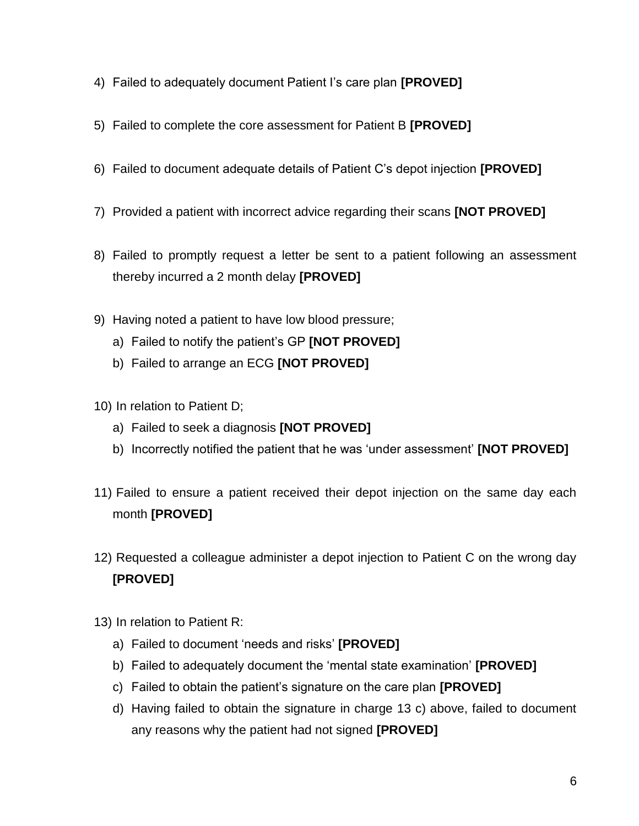- 4) Failed to adequately document Patient I's care plan **[PROVED]**
- 5) Failed to complete the core assessment for Patient B **[PROVED]**
- 6) Failed to document adequate details of Patient C's depot injection **[PROVED]**
- 7) Provided a patient with incorrect advice regarding their scans **[NOT PROVED]**
- 8) Failed to promptly request a letter be sent to a patient following an assessment thereby incurred a 2 month delay **[PROVED]**
- 9) Having noted a patient to have low blood pressure;
	- a) Failed to notify the patient's GP **[NOT PROVED]**
	- b) Failed to arrange an ECG **[NOT PROVED]**
- 10) In relation to Patient D;
	- a) Failed to seek a diagnosis **[NOT PROVED]**
	- b) Incorrectly notified the patient that he was 'under assessment' **[NOT PROVED]**
- 11) Failed to ensure a patient received their depot injection on the same day each month **[PROVED]**
- 12) Requested a colleague administer a depot injection to Patient C on the wrong day **[PROVED]**
- 13) In relation to Patient R:
	- a) Failed to document 'needs and risks' **[PROVED]**
	- b) Failed to adequately document the 'mental state examination' **[PROVED]**
	- c) Failed to obtain the patient's signature on the care plan **[PROVED]**
	- d) Having failed to obtain the signature in charge 13 c) above, failed to document any reasons why the patient had not signed **[PROVED]**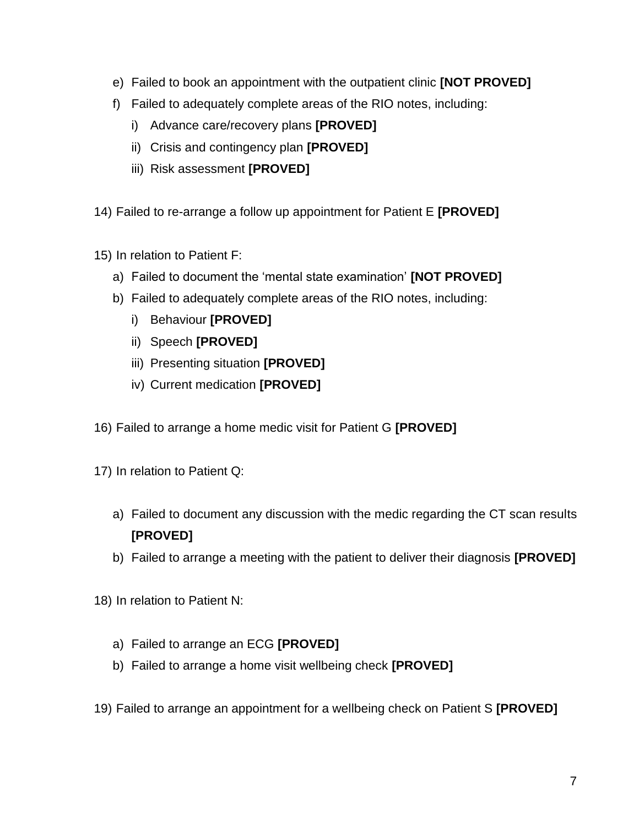- e) Failed to book an appointment with the outpatient clinic **[NOT PROVED]**
- f) Failed to adequately complete areas of the RIO notes, including:
	- i) Advance care/recovery plans **[PROVED]**
	- ii) Crisis and contingency plan **[PROVED]**
	- iii) Risk assessment **[PROVED]**
- 14) Failed to re-arrange a follow up appointment for Patient E **[PROVED]**
- 15) In relation to Patient F:
	- a) Failed to document the 'mental state examination' **[NOT PROVED]**
	- b) Failed to adequately complete areas of the RIO notes, including:
		- i) Behaviour **[PROVED]**
		- ii) Speech **[PROVED]**
		- iii) Presenting situation **[PROVED]**
		- iv) Current medication **[PROVED]**
- 16) Failed to arrange a home medic visit for Patient G **[PROVED]**
- 17) In relation to Patient Q:
	- a) Failed to document any discussion with the medic regarding the CT scan results **[PROVED]**
	- b) Failed to arrange a meeting with the patient to deliver their diagnosis **[PROVED]**
- 18) In relation to Patient N:
	- a) Failed to arrange an ECG **[PROVED]**
	- b) Failed to arrange a home visit wellbeing check **[PROVED]**
- 19) Failed to arrange an appointment for a wellbeing check on Patient S **[PROVED]**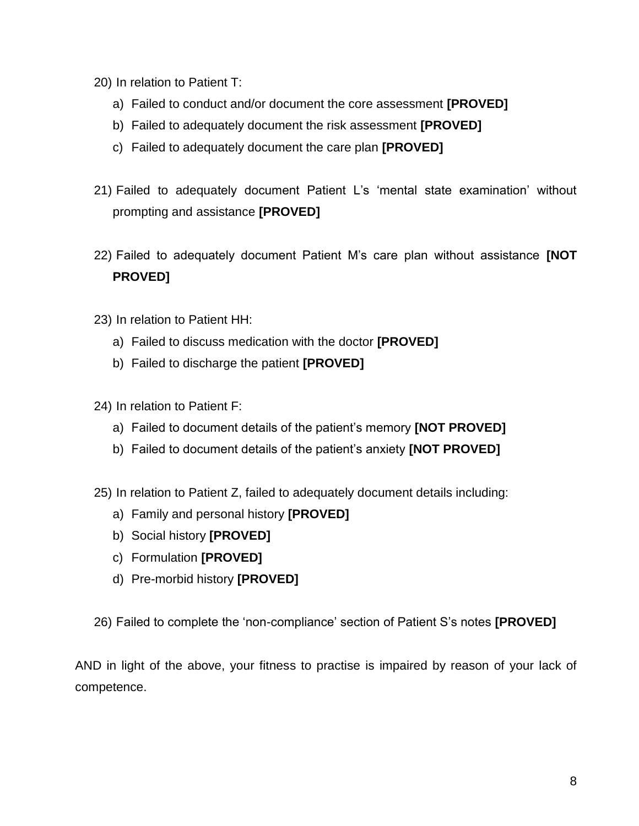- 20) In relation to Patient T:
	- a) Failed to conduct and/or document the core assessment **[PROVED]**
	- b) Failed to adequately document the risk assessment **[PROVED]**
	- c) Failed to adequately document the care plan **[PROVED]**
- 21) Failed to adequately document Patient L's 'mental state examination' without prompting and assistance **[PROVED]**
- 22) Failed to adequately document Patient M's care plan without assistance **[NOT PROVED]**
- 23) In relation to Patient HH:
	- a) Failed to discuss medication with the doctor **[PROVED]**
	- b) Failed to discharge the patient **[PROVED]**
- 24) In relation to Patient F:
	- a) Failed to document details of the patient's memory **[NOT PROVED]**
	- b) Failed to document details of the patient's anxiety **[NOT PROVED]**
- 25) In relation to Patient Z, failed to adequately document details including:
	- a) Family and personal history **[PROVED]**
	- b) Social history **[PROVED]**
	- c) Formulation **[PROVED]**
	- d) Pre-morbid history **[PROVED]**
- 26) Failed to complete the 'non-compliance' section of Patient S's notes **[PROVED]**

AND in light of the above, your fitness to practise is impaired by reason of your lack of competence.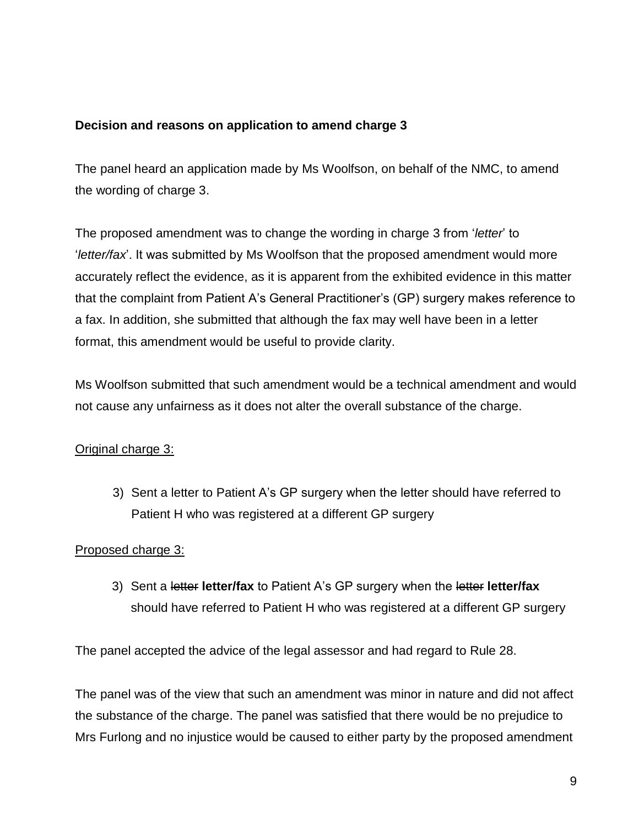### **Decision and reasons on application to amend charge 3**

The panel heard an application made by Ms Woolfson, on behalf of the NMC, to amend the wording of charge 3.

The proposed amendment was to change the wording in charge 3 from '*letter*' to '*letter/fax*'. It was submitted by Ms Woolfson that the proposed amendment would more accurately reflect the evidence, as it is apparent from the exhibited evidence in this matter that the complaint from Patient A's General Practitioner's (GP) surgery makes reference to a fax. In addition, she submitted that although the fax may well have been in a letter format, this amendment would be useful to provide clarity.

Ms Woolfson submitted that such amendment would be a technical amendment and would not cause any unfairness as it does not alter the overall substance of the charge.

# Original charge 3:

3) Sent a letter to Patient A's GP surgery when the letter should have referred to Patient H who was registered at a different GP surgery

# Proposed charge 3:

3) Sent a letter **letter/fax** to Patient A's GP surgery when the letter **letter/fax** should have referred to Patient H who was registered at a different GP surgery

The panel accepted the advice of the legal assessor and had regard to Rule 28.

The panel was of the view that such an amendment was minor in nature and did not affect the substance of the charge. The panel was satisfied that there would be no prejudice to Mrs Furlong and no injustice would be caused to either party by the proposed amendment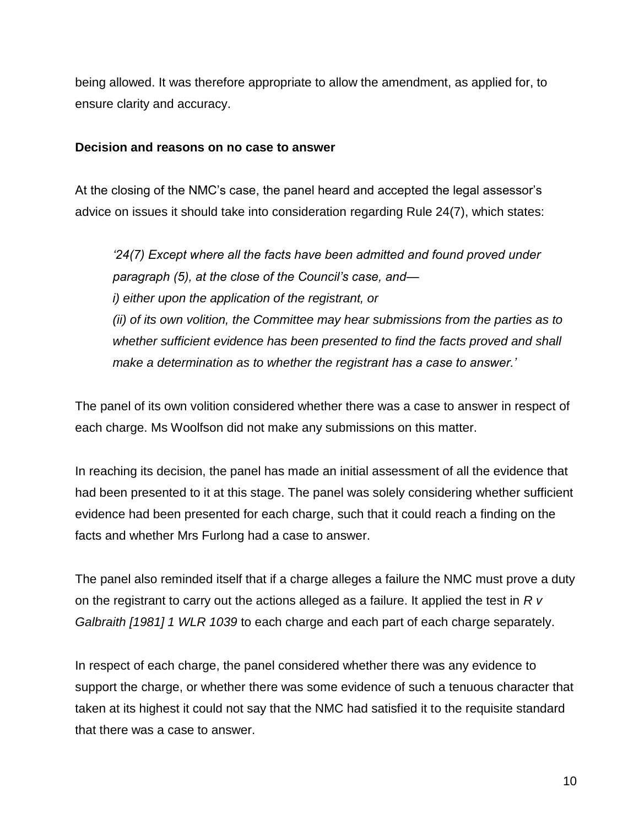being allowed. It was therefore appropriate to allow the amendment, as applied for, to ensure clarity and accuracy.

#### **Decision and reasons on no case to answer**

At the closing of the NMC's case, the panel heard and accepted the legal assessor's advice on issues it should take into consideration regarding Rule 24(7), which states:

*'24(7) Except where all the facts have been admitted and found proved under paragraph (5), at the close of the Council's case, and i) either upon the application of the registrant, or (ii) of its own volition, the Committee may hear submissions from the parties as to whether sufficient evidence has been presented to find the facts proved and shall make a determination as to whether the registrant has a case to answer.'*

The panel of its own volition considered whether there was a case to answer in respect of each charge. Ms Woolfson did not make any submissions on this matter.

In reaching its decision, the panel has made an initial assessment of all the evidence that had been presented to it at this stage. The panel was solely considering whether sufficient evidence had been presented for each charge, such that it could reach a finding on the facts and whether Mrs Furlong had a case to answer.

The panel also reminded itself that if a charge alleges a failure the NMC must prove a duty on the registrant to carry out the actions alleged as a failure. It applied the test in *R v Galbraith [1981] 1 WLR 1039* to each charge and each part of each charge separately.

In respect of each charge, the panel considered whether there was any evidence to support the charge, or whether there was some evidence of such a tenuous character that taken at its highest it could not say that the NMC had satisfied it to the requisite standard that there was a case to answer.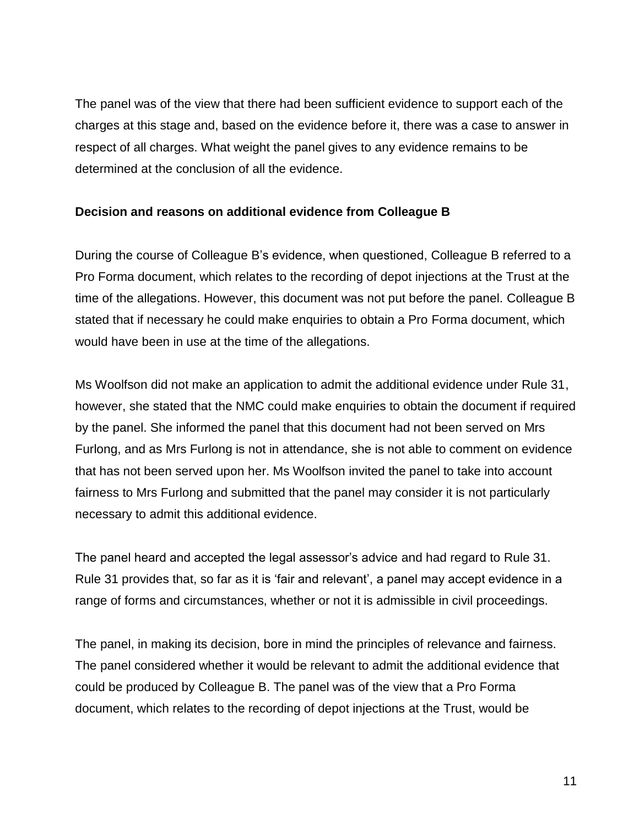The panel was of the view that there had been sufficient evidence to support each of the charges at this stage and, based on the evidence before it, there was a case to answer in respect of all charges. What weight the panel gives to any evidence remains to be determined at the conclusion of all the evidence.

#### **Decision and reasons on additional evidence from Colleague B**

During the course of Colleague B's evidence, when questioned, Colleague B referred to a Pro Forma document, which relates to the recording of depot injections at the Trust at the time of the allegations. However, this document was not put before the panel. Colleague B stated that if necessary he could make enquiries to obtain a Pro Forma document, which would have been in use at the time of the allegations.

Ms Woolfson did not make an application to admit the additional evidence under Rule 31, however, she stated that the NMC could make enquiries to obtain the document if required by the panel. She informed the panel that this document had not been served on Mrs Furlong, and as Mrs Furlong is not in attendance, she is not able to comment on evidence that has not been served upon her. Ms Woolfson invited the panel to take into account fairness to Mrs Furlong and submitted that the panel may consider it is not particularly necessary to admit this additional evidence.

The panel heard and accepted the legal assessor's advice and had regard to Rule 31. Rule 31 provides that, so far as it is 'fair and relevant', a panel may accept evidence in a range of forms and circumstances, whether or not it is admissible in civil proceedings.

The panel, in making its decision, bore in mind the principles of relevance and fairness. The panel considered whether it would be relevant to admit the additional evidence that could be produced by Colleague B. The panel was of the view that a Pro Forma document, which relates to the recording of depot injections at the Trust, would be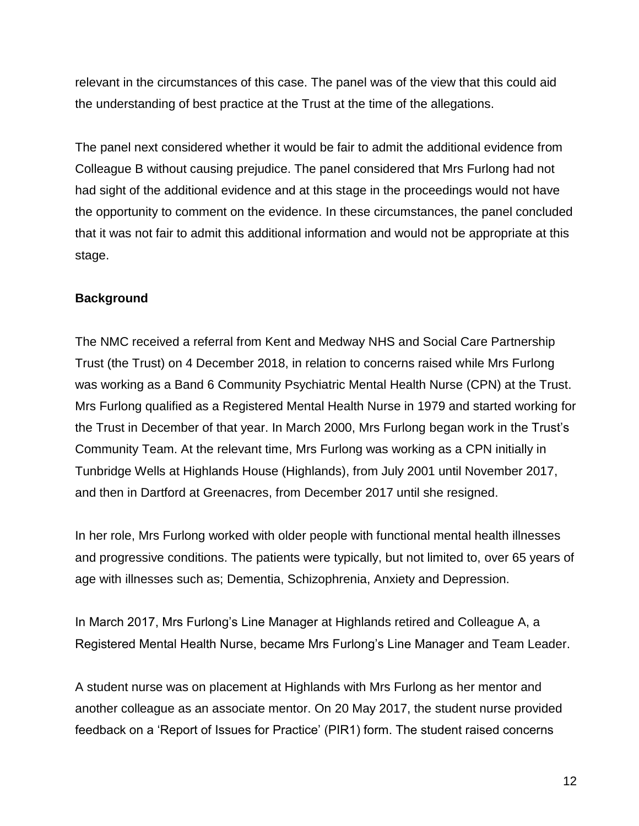relevant in the circumstances of this case. The panel was of the view that this could aid the understanding of best practice at the Trust at the time of the allegations.

The panel next considered whether it would be fair to admit the additional evidence from Colleague B without causing prejudice. The panel considered that Mrs Furlong had not had sight of the additional evidence and at this stage in the proceedings would not have the opportunity to comment on the evidence. In these circumstances, the panel concluded that it was not fair to admit this additional information and would not be appropriate at this stage.

### **Background**

The NMC received a referral from Kent and Medway NHS and Social Care Partnership Trust (the Trust) on 4 December 2018, in relation to concerns raised while Mrs Furlong was working as a Band 6 Community Psychiatric Mental Health Nurse (CPN) at the Trust. Mrs Furlong qualified as a Registered Mental Health Nurse in 1979 and started working for the Trust in December of that year. In March 2000, Mrs Furlong began work in the Trust's Community Team. At the relevant time, Mrs Furlong was working as a CPN initially in Tunbridge Wells at Highlands House (Highlands), from July 2001 until November 2017, and then in Dartford at Greenacres, from December 2017 until she resigned.

In her role, Mrs Furlong worked with older people with functional mental health illnesses and progressive conditions. The patients were typically, but not limited to, over 65 years of age with illnesses such as; Dementia, Schizophrenia, Anxiety and Depression.

In March 2017, Mrs Furlong's Line Manager at Highlands retired and Colleague A, a Registered Mental Health Nurse, became Mrs Furlong's Line Manager and Team Leader.

A student nurse was on placement at Highlands with Mrs Furlong as her mentor and another colleague as an associate mentor. On 20 May 2017, the student nurse provided feedback on a 'Report of Issues for Practice' (PIR1) form. The student raised concerns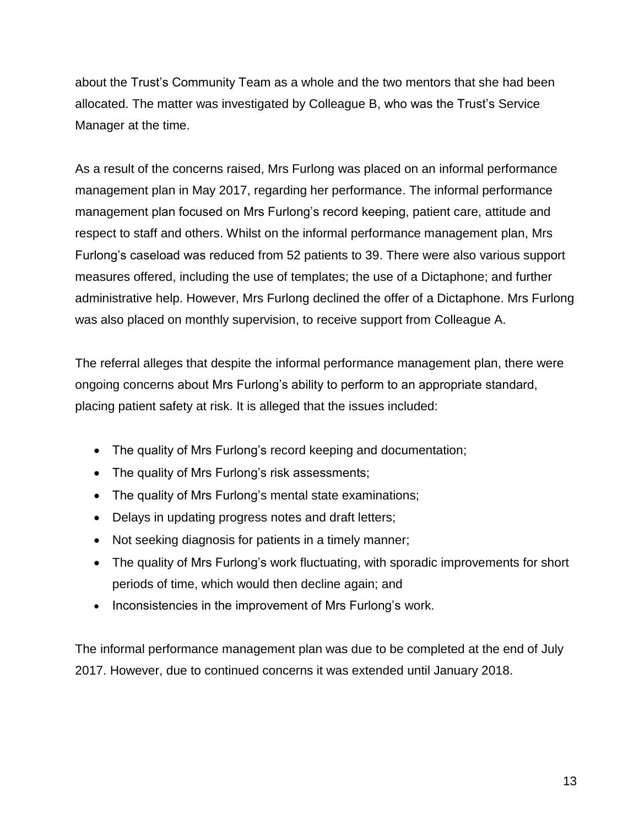about the Trust's Community Team as a whole and the two mentors that she had been allocated. The matter was investigated by Colleague B, who was the Trust's Service Manager at the time.

As a result of the concerns raised, Mrs Furlong was placed on an informal performance management plan in May 2017, regarding her performance. The informal performance management plan focused on Mrs Furlong's record keeping, patient care, attitude and respect to staff and others. Whilst on the informal performance management plan, Mrs Furlong's caseload was reduced from 52 patients to 39. There were also various support measures offered, including the use of templates; the use of a Dictaphone; and further administrative help. However, Mrs Furlong declined the offer of a Dictaphone. Mrs Furlong was also placed on monthly supervision, to receive support from Colleague A.

The referral alleges that despite the informal performance management plan, there were ongoing concerns about Mrs Furlong's ability to perform to an appropriate standard, placing patient safety at risk. It is alleged that the issues included:

- The quality of Mrs Furlong's record keeping and documentation;
- The quality of Mrs Furlong's risk assessments;
- The quality of Mrs Furlong's mental state examinations;
- Delays in updating progress notes and draft letters;
- Not seeking diagnosis for patients in a timely manner;
- The quality of Mrs Furlong's work fluctuating, with sporadic improvements for short periods of time, which would then decline again; and
- Inconsistencies in the improvement of Mrs Furlong's work.

The informal performance management plan was due to be completed at the end of July 2017. However, due to continued concerns it was extended until January 2018.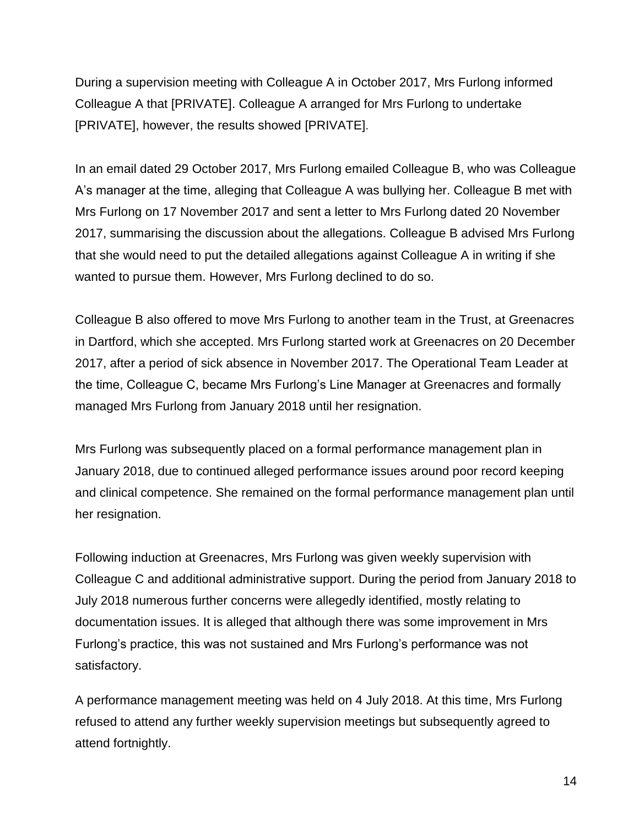During a supervision meeting with Colleague A in October 2017, Mrs Furlong informed Colleague A that [PRIVATE]. Colleague A arranged for Mrs Furlong to undertake [PRIVATE], however, the results showed [PRIVATE].

In an email dated 29 October 2017, Mrs Furlong emailed Colleague B, who was Colleague A's manager at the time, alleging that Colleague A was bullying her. Colleague B met with Mrs Furlong on 17 November 2017 and sent a letter to Mrs Furlong dated 20 November 2017, summarising the discussion about the allegations. Colleague B advised Mrs Furlong that she would need to put the detailed allegations against Colleague A in writing if she wanted to pursue them. However, Mrs Furlong declined to do so.

Colleague B also offered to move Mrs Furlong to another team in the Trust, at Greenacres in Dartford, which she accepted. Mrs Furlong started work at Greenacres on 20 December 2017, after a period of sick absence in November 2017. The Operational Team Leader at the time, Colleague C, became Mrs Furlong's Line Manager at Greenacres and formally managed Mrs Furlong from January 2018 until her resignation.

Mrs Furlong was subsequently placed on a formal performance management plan in January 2018, due to continued alleged performance issues around poor record keeping and clinical competence. She remained on the formal performance management plan until her resignation.

Following induction at Greenacres, Mrs Furlong was given weekly supervision with Colleague C and additional administrative support. During the period from January 2018 to July 2018 numerous further concerns were allegedly identified, mostly relating to documentation issues. It is alleged that although there was some improvement in Mrs Furlong's practice, this was not sustained and Mrs Furlong's performance was not satisfactory.

A performance management meeting was held on 4 July 2018. At this time, Mrs Furlong refused to attend any further weekly supervision meetings but subsequently agreed to attend fortnightly.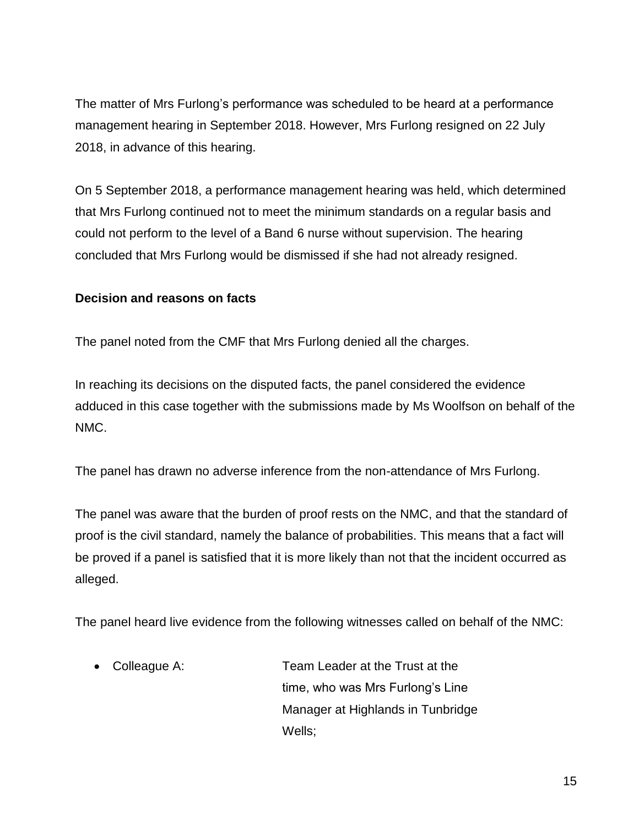The matter of Mrs Furlong's performance was scheduled to be heard at a performance management hearing in September 2018. However, Mrs Furlong resigned on 22 July 2018, in advance of this hearing.

On 5 September 2018, a performance management hearing was held, which determined that Mrs Furlong continued not to meet the minimum standards on a regular basis and could not perform to the level of a Band 6 nurse without supervision. The hearing concluded that Mrs Furlong would be dismissed if she had not already resigned.

### **Decision and reasons on facts**

The panel noted from the CMF that Mrs Furlong denied all the charges.

In reaching its decisions on the disputed facts, the panel considered the evidence adduced in this case together with the submissions made by Ms Woolfson on behalf of the NMC.

The panel has drawn no adverse inference from the non-attendance of Mrs Furlong.

The panel was aware that the burden of proof rests on the NMC, and that the standard of proof is the civil standard, namely the balance of probabilities. This means that a fact will be proved if a panel is satisfied that it is more likely than not that the incident occurred as alleged.

The panel heard live evidence from the following witnesses called on behalf of the NMC:

 Colleague A: Team Leader at the Trust at the time, who was Mrs Furlong's Line Manager at Highlands in Tunbridge Wells;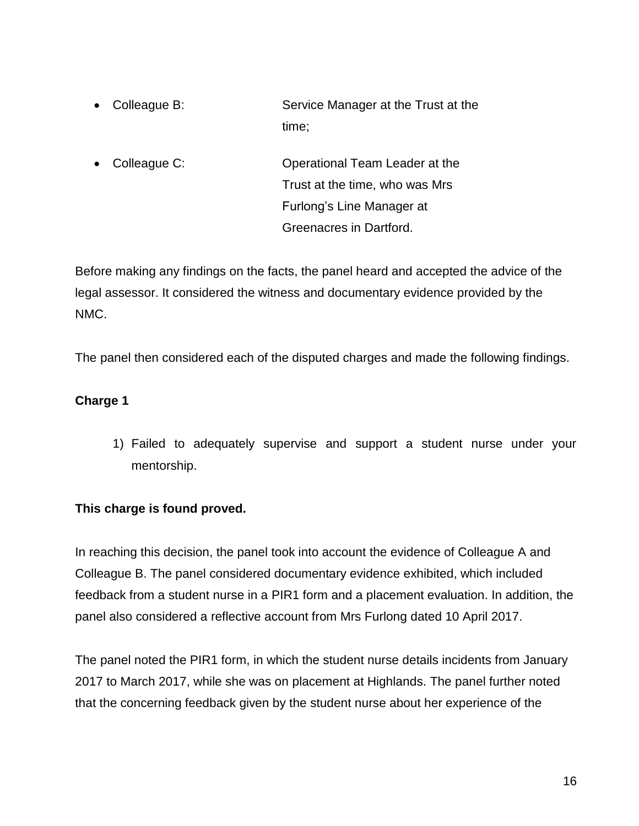- Colleague B: Service Manager at the Trust at the time;
- Colleague C: **Operational Team Leader at the** Trust at the time, who was Mrs Furlong's Line Manager at Greenacres in Dartford.

Before making any findings on the facts, the panel heard and accepted the advice of the legal assessor. It considered the witness and documentary evidence provided by the NMC.

The panel then considered each of the disputed charges and made the following findings.

### **Charge 1**

1) Failed to adequately supervise and support a student nurse under your mentorship.

### **This charge is found proved.**

In reaching this decision, the panel took into account the evidence of Colleague A and Colleague B. The panel considered documentary evidence exhibited, which included feedback from a student nurse in a PIR1 form and a placement evaluation. In addition, the panel also considered a reflective account from Mrs Furlong dated 10 April 2017.

The panel noted the PIR1 form, in which the student nurse details incidents from January 2017 to March 2017, while she was on placement at Highlands. The panel further noted that the concerning feedback given by the student nurse about her experience of the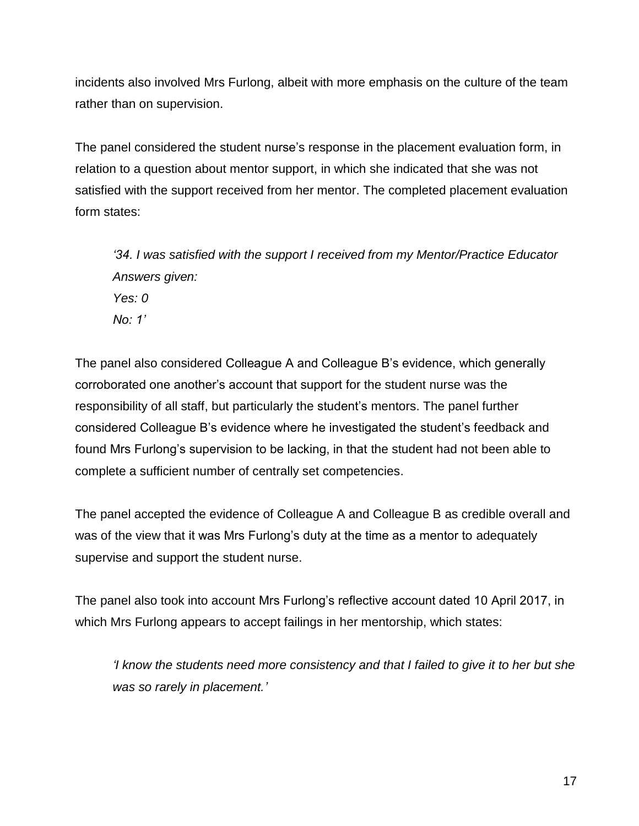incidents also involved Mrs Furlong, albeit with more emphasis on the culture of the team rather than on supervision.

The panel considered the student nurse's response in the placement evaluation form, in relation to a question about mentor support, in which she indicated that she was not satisfied with the support received from her mentor. The completed placement evaluation form states:

*'34. I was satisfied with the support I received from my Mentor/Practice Educator Answers given: Yes: 0 No: 1'*

The panel also considered Colleague A and Colleague B's evidence, which generally corroborated one another's account that support for the student nurse was the responsibility of all staff, but particularly the student's mentors. The panel further considered Colleague B's evidence where he investigated the student's feedback and found Mrs Furlong's supervision to be lacking, in that the student had not been able to complete a sufficient number of centrally set competencies.

The panel accepted the evidence of Colleague A and Colleague B as credible overall and was of the view that it was Mrs Furlong's duty at the time as a mentor to adequately supervise and support the student nurse.

The panel also took into account Mrs Furlong's reflective account dated 10 April 2017, in which Mrs Furlong appears to accept failings in her mentorship, which states:

*'I know the students need more consistency and that I failed to give it to her but she was so rarely in placement.'*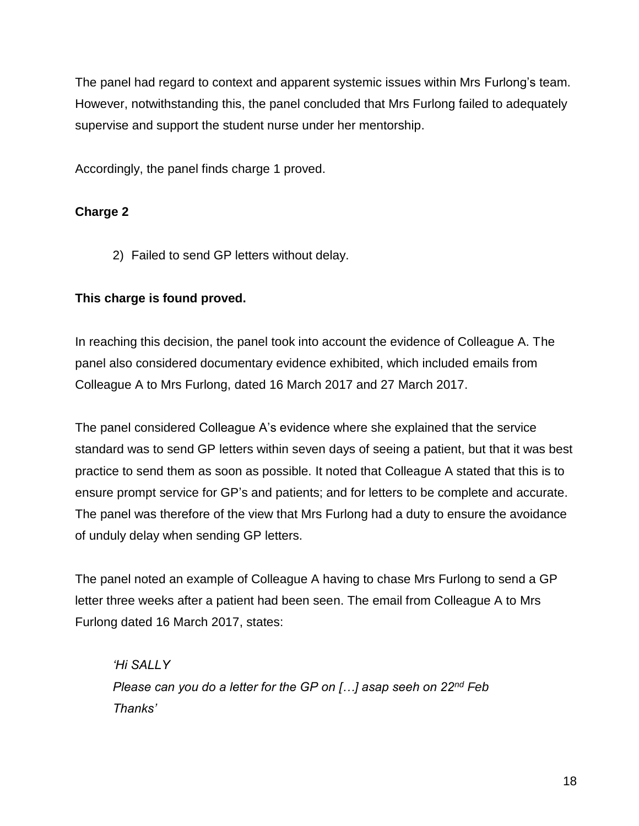The panel had regard to context and apparent systemic issues within Mrs Furlong's team. However, notwithstanding this, the panel concluded that Mrs Furlong failed to adequately supervise and support the student nurse under her mentorship.

Accordingly, the panel finds charge 1 proved.

# **Charge 2**

2) Failed to send GP letters without delay.

### **This charge is found proved.**

In reaching this decision, the panel took into account the evidence of Colleague A. The panel also considered documentary evidence exhibited, which included emails from Colleague A to Mrs Furlong, dated 16 March 2017 and 27 March 2017.

The panel considered Colleague A's evidence where she explained that the service standard was to send GP letters within seven days of seeing a patient, but that it was best practice to send them as soon as possible. It noted that Colleague A stated that this is to ensure prompt service for GP's and patients; and for letters to be complete and accurate. The panel was therefore of the view that Mrs Furlong had a duty to ensure the avoidance of unduly delay when sending GP letters.

The panel noted an example of Colleague A having to chase Mrs Furlong to send a GP letter three weeks after a patient had been seen. The email from Colleague A to Mrs Furlong dated 16 March 2017, states:

*'Hi SALLY Please can you do a letter for the GP on […] asap seeh on 22nd Feb Thanks'*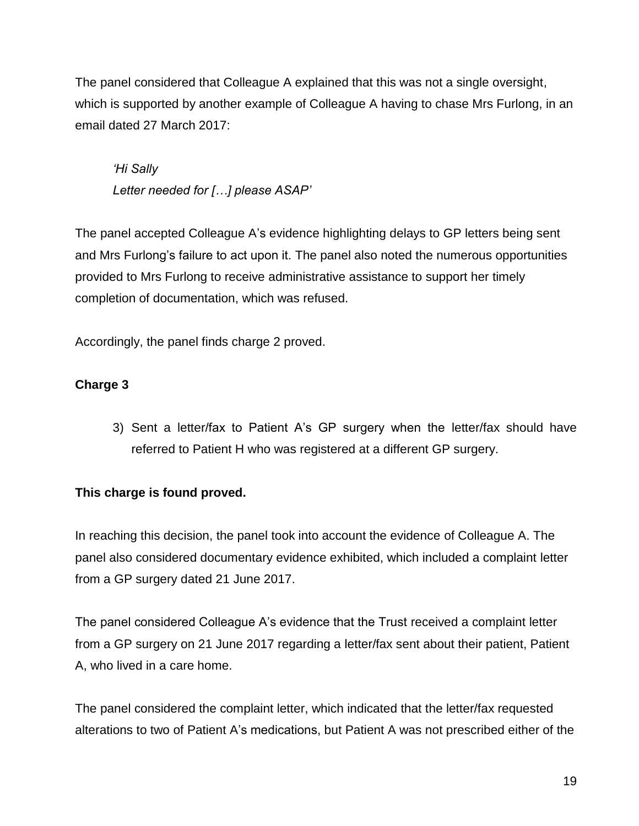The panel considered that Colleague A explained that this was not a single oversight, which is supported by another example of Colleague A having to chase Mrs Furlong, in an email dated 27 March 2017:

*'Hi Sally Letter needed for […] please ASAP'* 

The panel accepted Colleague A's evidence highlighting delays to GP letters being sent and Mrs Furlong's failure to act upon it. The panel also noted the numerous opportunities provided to Mrs Furlong to receive administrative assistance to support her timely completion of documentation, which was refused.

Accordingly, the panel finds charge 2 proved.

# **Charge 3**

3) Sent a letter/fax to Patient A's GP surgery when the letter/fax should have referred to Patient H who was registered at a different GP surgery.

# **This charge is found proved.**

In reaching this decision, the panel took into account the evidence of Colleague A. The panel also considered documentary evidence exhibited, which included a complaint letter from a GP surgery dated 21 June 2017.

The panel considered Colleague A's evidence that the Trust received a complaint letter from a GP surgery on 21 June 2017 regarding a letter/fax sent about their patient, Patient A, who lived in a care home.

The panel considered the complaint letter, which indicated that the letter/fax requested alterations to two of Patient A's medications, but Patient A was not prescribed either of the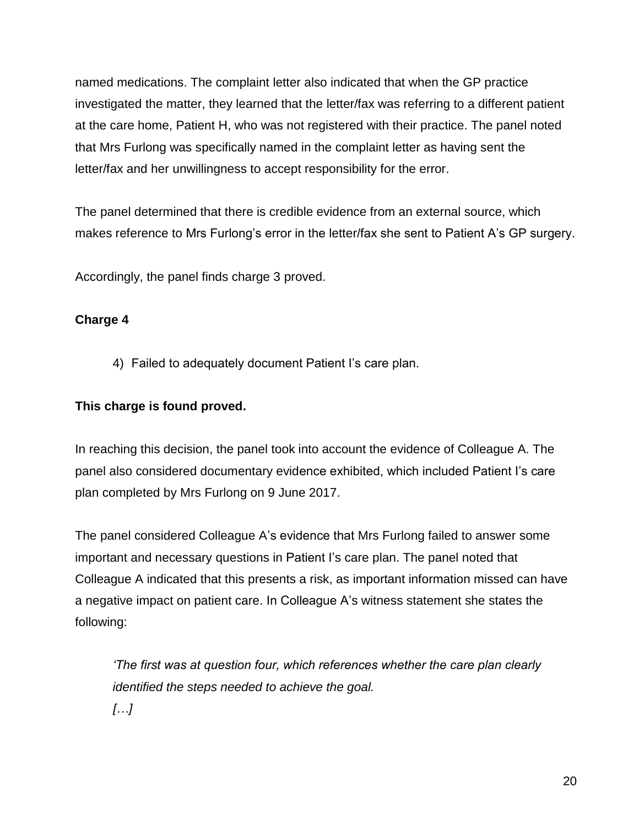named medications. The complaint letter also indicated that when the GP practice investigated the matter, they learned that the letter/fax was referring to a different patient at the care home, Patient H, who was not registered with their practice. The panel noted that Mrs Furlong was specifically named in the complaint letter as having sent the letter/fax and her unwillingness to accept responsibility for the error.

The panel determined that there is credible evidence from an external source, which makes reference to Mrs Furlong's error in the letter/fax she sent to Patient A's GP surgery.

Accordingly, the panel finds charge 3 proved.

### **Charge 4**

4) Failed to adequately document Patient I's care plan.

### **This charge is found proved.**

In reaching this decision, the panel took into account the evidence of Colleague A. The panel also considered documentary evidence exhibited, which included Patient I's care plan completed by Mrs Furlong on 9 June 2017.

The panel considered Colleague A's evidence that Mrs Furlong failed to answer some important and necessary questions in Patient I's care plan. The panel noted that Colleague A indicated that this presents a risk, as important information missed can have a negative impact on patient care. In Colleague A's witness statement she states the following:

*'The first was at question four, which references whether the care plan clearly identified the steps needed to achieve the goal. […]*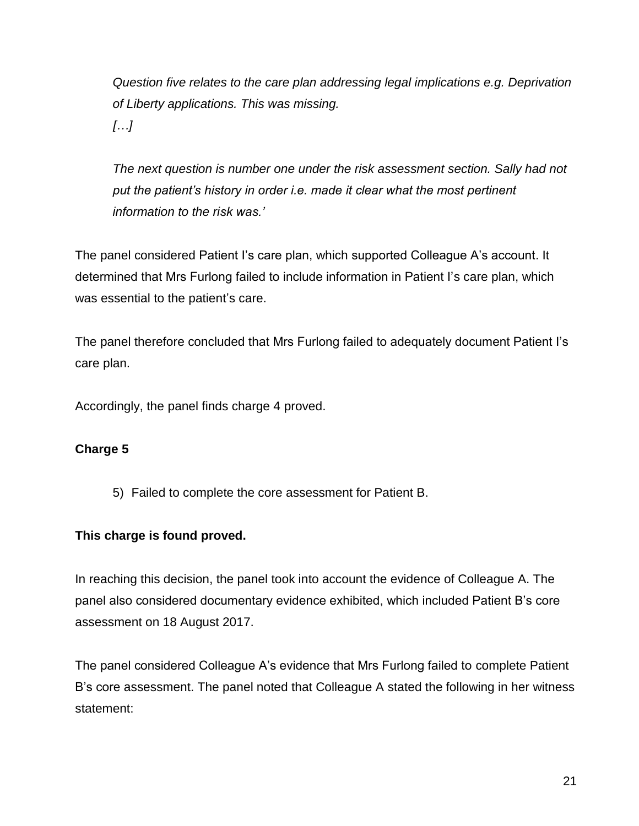*Question five relates to the care plan addressing legal implications e.g. Deprivation of Liberty applications. This was missing. […]*

*The next question is number one under the risk assessment section. Sally had not put the patient's history in order i.e. made it clear what the most pertinent information to the risk was.'*

The panel considered Patient I's care plan, which supported Colleague A's account. It determined that Mrs Furlong failed to include information in Patient I's care plan, which was essential to the patient's care.

The panel therefore concluded that Mrs Furlong failed to adequately document Patient I's care plan.

Accordingly, the panel finds charge 4 proved.

# **Charge 5**

5) Failed to complete the core assessment for Patient B.

### **This charge is found proved.**

In reaching this decision, the panel took into account the evidence of Colleague A. The panel also considered documentary evidence exhibited, which included Patient B's core assessment on 18 August 2017.

The panel considered Colleague A's evidence that Mrs Furlong failed to complete Patient B's core assessment. The panel noted that Colleague A stated the following in her witness statement: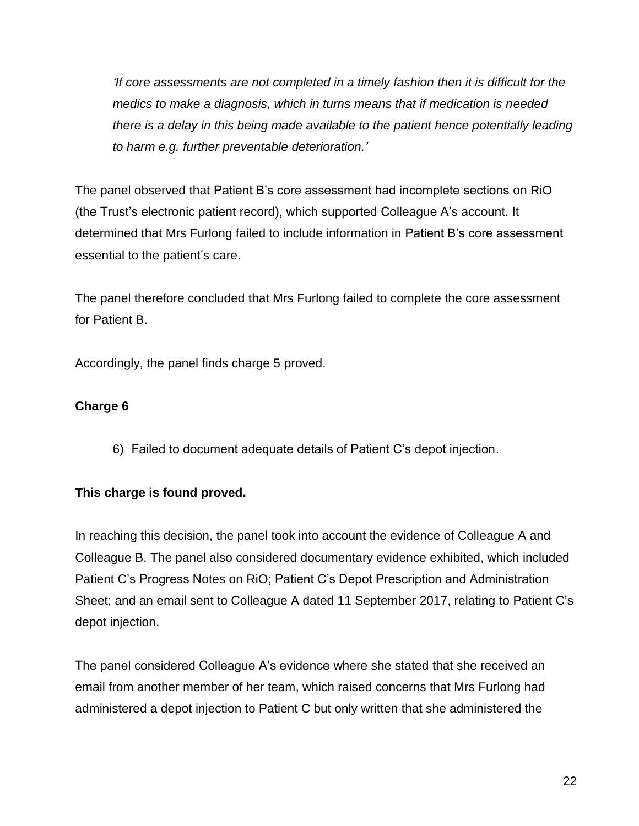*'If core assessments are not completed in a timely fashion then it is difficult for the medics to make a diagnosis, which in turns means that if medication is needed there is a delay in this being made available to the patient hence potentially leading to harm e.g. further preventable deterioration.'*

The panel observed that Patient B's core assessment had incomplete sections on RiO (the Trust's electronic patient record), which supported Colleague A's account. It determined that Mrs Furlong failed to include information in Patient B's core assessment essential to the patient's care.

The panel therefore concluded that Mrs Furlong failed to complete the core assessment for Patient B.

Accordingly, the panel finds charge 5 proved.

### **Charge 6**

6) Failed to document adequate details of Patient C's depot injection.

# **This charge is found proved.**

In reaching this decision, the panel took into account the evidence of Colleague A and Colleague B. The panel also considered documentary evidence exhibited, which included Patient C's Progress Notes on RiO; Patient C's Depot Prescription and Administration Sheet; and an email sent to Colleague A dated 11 September 2017, relating to Patient C's depot injection.

The panel considered Colleague A's evidence where she stated that she received an email from another member of her team, which raised concerns that Mrs Furlong had administered a depot injection to Patient C but only written that she administered the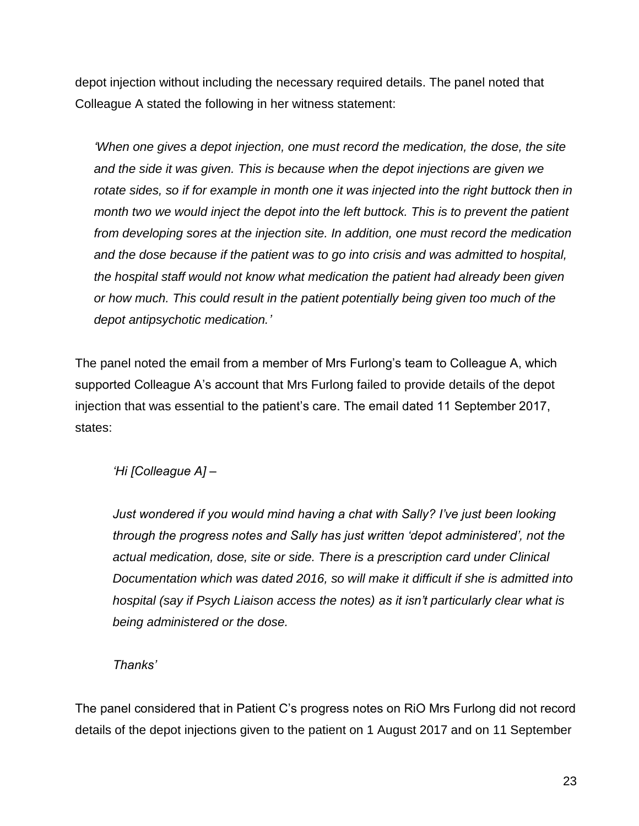depot injection without including the necessary required details. The panel noted that Colleague A stated the following in her witness statement:

*'When one gives a depot injection, one must record the medication, the dose, the site and the side it was given. This is because when the depot injections are given we*  rotate sides, so if for example in month one it was injected into the right buttock then in *month two we would inject the depot into the left buttock. This is to prevent the patient from developing sores at the injection site. In addition, one must record the medication and the dose because if the patient was to go into crisis and was admitted to hospital, the hospital staff would not know what medication the patient had already been given or how much. This could result in the patient potentially being given too much of the depot antipsychotic medication.'*

The panel noted the email from a member of Mrs Furlong's team to Colleague A, which supported Colleague A's account that Mrs Furlong failed to provide details of the depot injection that was essential to the patient's care. The email dated 11 September 2017, states:

*'Hi [Colleague A] –*

*Just wondered if you would mind having a chat with Sally? I've just been looking through the progress notes and Sally has just written 'depot administered', not the actual medication, dose, site or side. There is a prescription card under Clinical Documentation which was dated 2016, so will make it difficult if she is admitted into hospital (say if Psych Liaison access the notes) as it isn't particularly clear what is being administered or the dose.* 

*Thanks'*

The panel considered that in Patient C's progress notes on RiO Mrs Furlong did not record details of the depot injections given to the patient on 1 August 2017 and on 11 September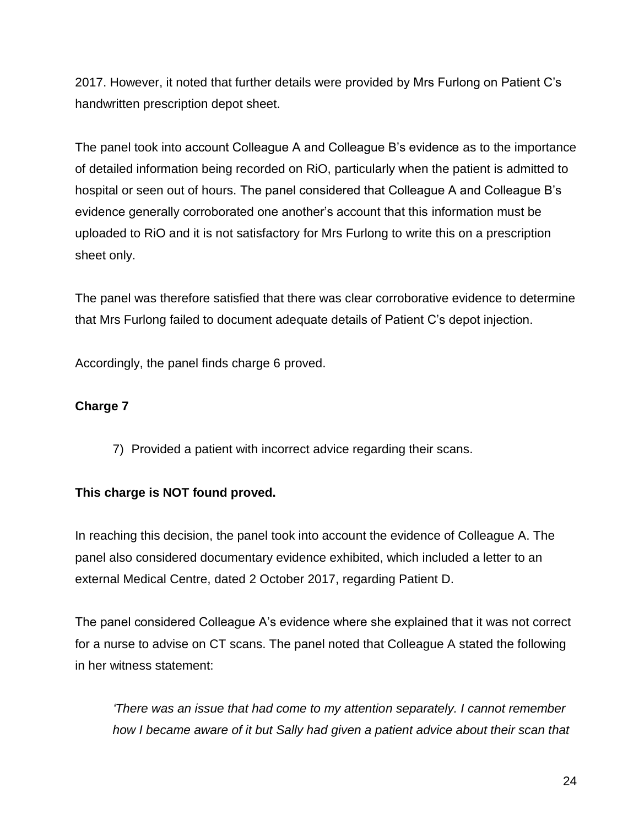2017. However, it noted that further details were provided by Mrs Furlong on Patient C's handwritten prescription depot sheet.

The panel took into account Colleague A and Colleague B's evidence as to the importance of detailed information being recorded on RiO, particularly when the patient is admitted to hospital or seen out of hours. The panel considered that Colleague A and Colleague B's evidence generally corroborated one another's account that this information must be uploaded to RiO and it is not satisfactory for Mrs Furlong to write this on a prescription sheet only.

The panel was therefore satisfied that there was clear corroborative evidence to determine that Mrs Furlong failed to document adequate details of Patient C's depot injection.

Accordingly, the panel finds charge 6 proved.

### **Charge 7**

7) Provided a patient with incorrect advice regarding their scans.

# **This charge is NOT found proved.**

In reaching this decision, the panel took into account the evidence of Colleague A. The panel also considered documentary evidence exhibited, which included a letter to an external Medical Centre, dated 2 October 2017, regarding Patient D.

The panel considered Colleague A's evidence where she explained that it was not correct for a nurse to advise on CT scans. The panel noted that Colleague A stated the following in her witness statement:

*'There was an issue that had come to my attention separately. I cannot remember how I became aware of it but Sally had given a patient advice about their scan that*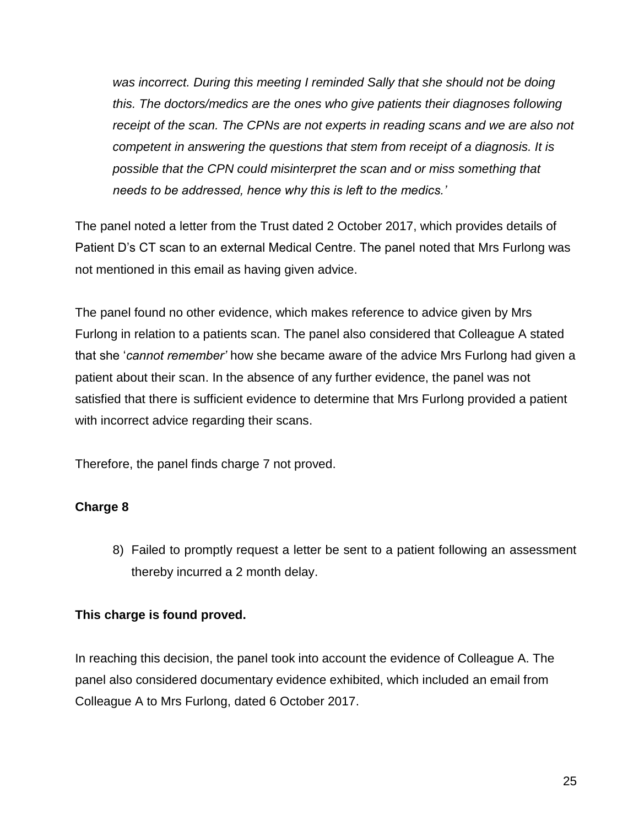*was incorrect. During this meeting I reminded Sally that she should not be doing this. The doctors/medics are the ones who give patients their diagnoses following receipt of the scan. The CPNs are not experts in reading scans and we are also not competent in answering the questions that stem from receipt of a diagnosis. It is possible that the CPN could misinterpret the scan and or miss something that needs to be addressed, hence why this is left to the medics.'*

The panel noted a letter from the Trust dated 2 October 2017, which provides details of Patient D's CT scan to an external Medical Centre. The panel noted that Mrs Furlong was not mentioned in this email as having given advice.

The panel found no other evidence, which makes reference to advice given by Mrs Furlong in relation to a patients scan. The panel also considered that Colleague A stated that she '*cannot remember'* how she became aware of the advice Mrs Furlong had given a patient about their scan. In the absence of any further evidence, the panel was not satisfied that there is sufficient evidence to determine that Mrs Furlong provided a patient with incorrect advice regarding their scans.

Therefore, the panel finds charge 7 not proved.

# **Charge 8**

8) Failed to promptly request a letter be sent to a patient following an assessment thereby incurred a 2 month delay.

### **This charge is found proved.**

In reaching this decision, the panel took into account the evidence of Colleague A. The panel also considered documentary evidence exhibited, which included an email from Colleague A to Mrs Furlong, dated 6 October 2017.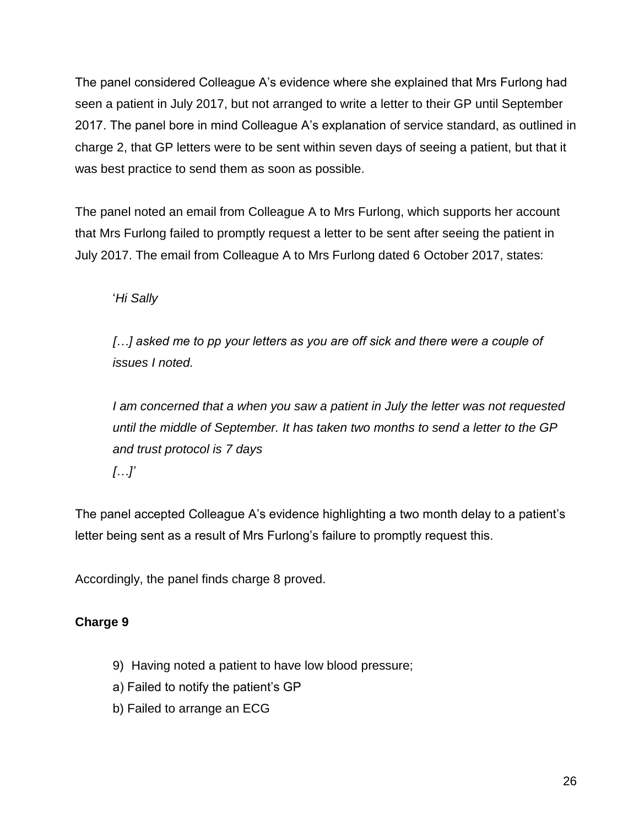The panel considered Colleague A's evidence where she explained that Mrs Furlong had seen a patient in July 2017, but not arranged to write a letter to their GP until September 2017. The panel bore in mind Colleague A's explanation of service standard, as outlined in charge 2, that GP letters were to be sent within seven days of seeing a patient, but that it was best practice to send them as soon as possible.

The panel noted an email from Colleague A to Mrs Furlong, which supports her account that Mrs Furlong failed to promptly request a letter to be sent after seeing the patient in July 2017. The email from Colleague A to Mrs Furlong dated 6 October 2017, states:

'*Hi Sally*

[...] asked me to pp your letters as you are off sick and there were a couple of *issues I noted.* 

*I am concerned that a when you saw a patient in July the letter was not requested until the middle of September. It has taken two months to send a letter to the GP and trust protocol is 7 days […]'*

The panel accepted Colleague A's evidence highlighting a two month delay to a patient's letter being sent as a result of Mrs Furlong's failure to promptly request this.

Accordingly, the panel finds charge 8 proved.

# **Charge 9**

- 9) Having noted a patient to have low blood pressure;
- a) Failed to notify the patient's GP
- b) Failed to arrange an ECG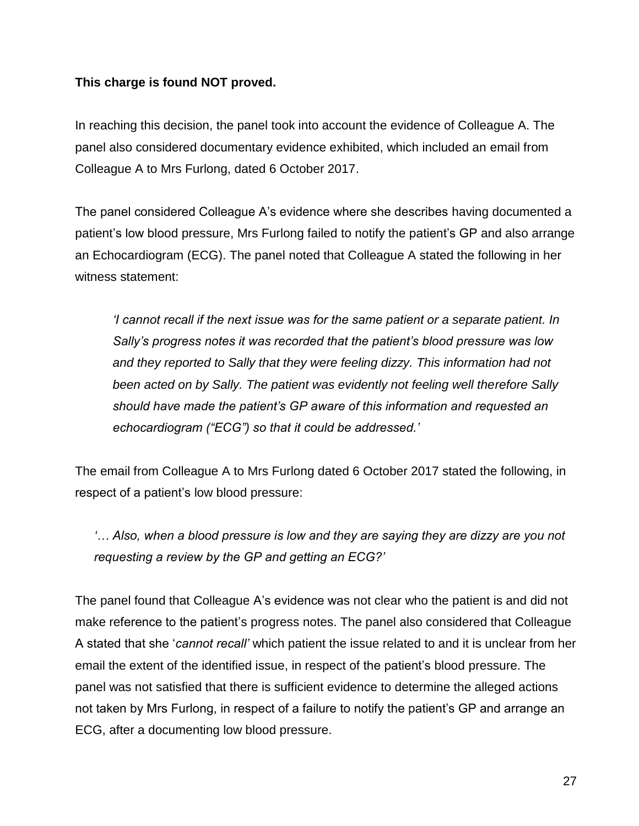### **This charge is found NOT proved.**

In reaching this decision, the panel took into account the evidence of Colleague A. The panel also considered documentary evidence exhibited, which included an email from Colleague A to Mrs Furlong, dated 6 October 2017.

The panel considered Colleague A's evidence where she describes having documented a patient's low blood pressure, Mrs Furlong failed to notify the patient's GP and also arrange an Echocardiogram (ECG). The panel noted that Colleague A stated the following in her witness statement:

*'I cannot recall if the next issue was for the same patient or a separate patient. In Sally's progress notes it was recorded that the patient's blood pressure was low and they reported to Sally that they were feeling dizzy. This information had not been acted on by Sally. The patient was evidently not feeling well therefore Sally should have made the patient's GP aware of this information and requested an echocardiogram ("ECG") so that it could be addressed.'*

The email from Colleague A to Mrs Furlong dated 6 October 2017 stated the following, in respect of a patient's low blood pressure:

*'… Also, when a blood pressure is low and they are saying they are dizzy are you not requesting a review by the GP and getting an ECG?'* 

The panel found that Colleague A's evidence was not clear who the patient is and did not make reference to the patient's progress notes. The panel also considered that Colleague A stated that she '*cannot recall'* which patient the issue related to and it is unclear from her email the extent of the identified issue, in respect of the patient's blood pressure. The panel was not satisfied that there is sufficient evidence to determine the alleged actions not taken by Mrs Furlong, in respect of a failure to notify the patient's GP and arrange an ECG, after a documenting low blood pressure.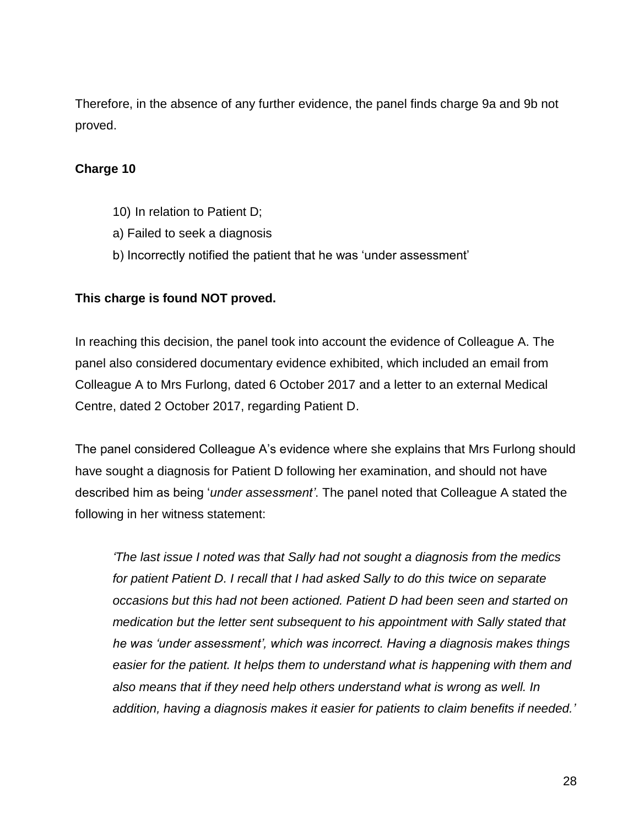Therefore, in the absence of any further evidence, the panel finds charge 9a and 9b not proved.

### **Charge 10**

- 10) In relation to Patient D;
- a) Failed to seek a diagnosis
- b) Incorrectly notified the patient that he was 'under assessment'

#### **This charge is found NOT proved.**

In reaching this decision, the panel took into account the evidence of Colleague A. The panel also considered documentary evidence exhibited, which included an email from Colleague A to Mrs Furlong, dated 6 October 2017 and a letter to an external Medical Centre, dated 2 October 2017, regarding Patient D.

The panel considered Colleague A's evidence where she explains that Mrs Furlong should have sought a diagnosis for Patient D following her examination, and should not have described him as being '*under assessment'*. The panel noted that Colleague A stated the following in her witness statement:

*'The last issue I noted was that Sally had not sought a diagnosis from the medics for patient Patient D. I recall that I had asked Sally to do this twice on separate occasions but this had not been actioned. Patient D had been seen and started on medication but the letter sent subsequent to his appointment with Sally stated that he was 'under assessment', which was incorrect. Having a diagnosis makes things easier for the patient. It helps them to understand what is happening with them and also means that if they need help others understand what is wrong as well. In addition, having a diagnosis makes it easier for patients to claim benefits if needed.'*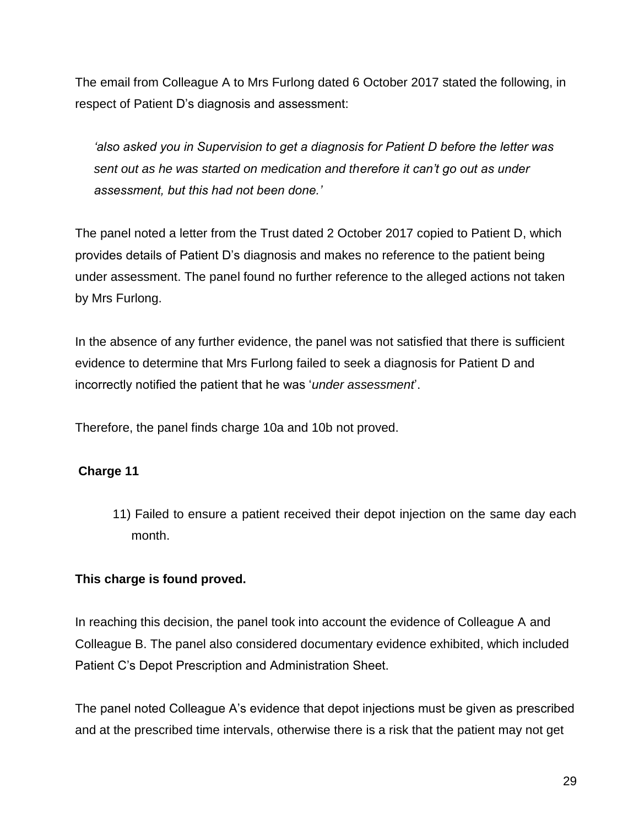The email from Colleague A to Mrs Furlong dated 6 October 2017 stated the following, in respect of Patient D's diagnosis and assessment:

*'also asked you in Supervision to get a diagnosis for Patient D before the letter was sent out as he was started on medication and therefore it can't go out as under assessment, but this had not been done.'* 

The panel noted a letter from the Trust dated 2 October 2017 copied to Patient D, which provides details of Patient D's diagnosis and makes no reference to the patient being under assessment. The panel found no further reference to the alleged actions not taken by Mrs Furlong.

In the absence of any further evidence, the panel was not satisfied that there is sufficient evidence to determine that Mrs Furlong failed to seek a diagnosis for Patient D and incorrectly notified the patient that he was '*under assessment*'.

Therefore, the panel finds charge 10a and 10b not proved.

# **Charge 11**

11) Failed to ensure a patient received their depot injection on the same day each month.

### **This charge is found proved.**

In reaching this decision, the panel took into account the evidence of Colleague A and Colleague B. The panel also considered documentary evidence exhibited, which included Patient C's Depot Prescription and Administration Sheet.

The panel noted Colleague A's evidence that depot injections must be given as prescribed and at the prescribed time intervals, otherwise there is a risk that the patient may not get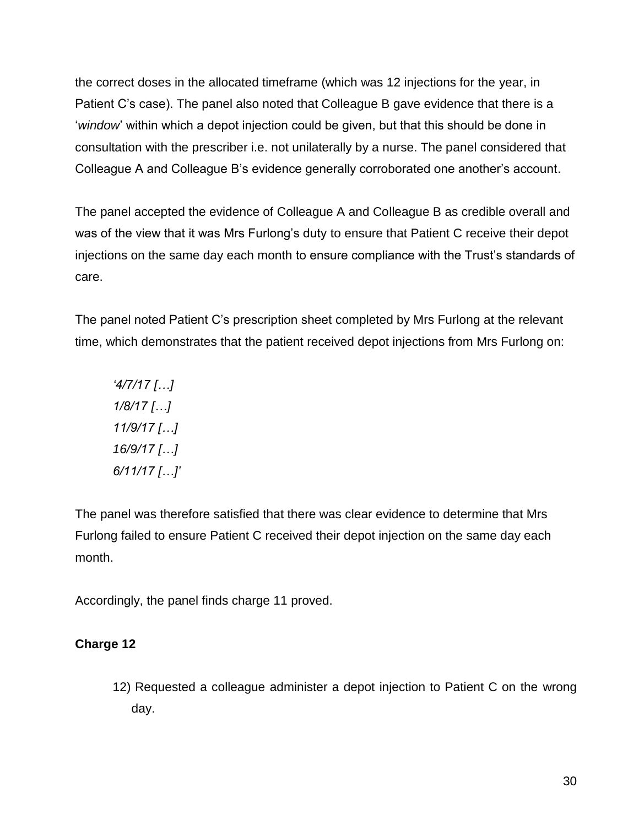the correct doses in the allocated timeframe (which was 12 injections for the year, in Patient C's case). The panel also noted that Colleague B gave evidence that there is a '*window*' within which a depot injection could be given, but that this should be done in consultation with the prescriber i.e. not unilaterally by a nurse. The panel considered that Colleague A and Colleague B's evidence generally corroborated one another's account.

The panel accepted the evidence of Colleague A and Colleague B as credible overall and was of the view that it was Mrs Furlong's duty to ensure that Patient C receive their depot injections on the same day each month to ensure compliance with the Trust's standards of care.

The panel noted Patient C's prescription sheet completed by Mrs Furlong at the relevant time, which demonstrates that the patient received depot injections from Mrs Furlong on:

*'4/7/17 […] 1/8/17 […] 11/9/17 […] 16/9/17 […] 6/11/17 […]'*

The panel was therefore satisfied that there was clear evidence to determine that Mrs Furlong failed to ensure Patient C received their depot injection on the same day each month.

Accordingly, the panel finds charge 11 proved.

# **Charge 12**

12) Requested a colleague administer a depot injection to Patient C on the wrong day.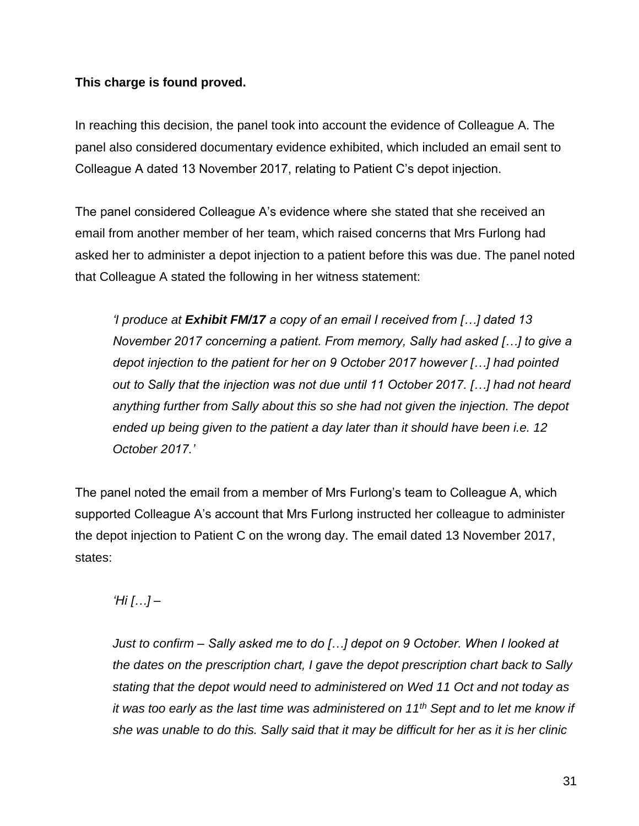### **This charge is found proved.**

In reaching this decision, the panel took into account the evidence of Colleague A. The panel also considered documentary evidence exhibited, which included an email sent to Colleague A dated 13 November 2017, relating to Patient C's depot injection.

The panel considered Colleague A's evidence where she stated that she received an email from another member of her team, which raised concerns that Mrs Furlong had asked her to administer a depot injection to a patient before this was due. The panel noted that Colleague A stated the following in her witness statement:

*'I produce at Exhibit FM/17 a copy of an email I received from […] dated 13 November 2017 concerning a patient. From memory, Sally had asked […] to give a depot injection to the patient for her on 9 October 2017 however […] had pointed out to Sally that the injection was not due until 11 October 2017. […] had not heard anything further from Sally about this so she had not given the injection. The depot ended up being given to the patient a day later than it should have been i.e. 12 October 2017.'*

The panel noted the email from a member of Mrs Furlong's team to Colleague A, which supported Colleague A's account that Mrs Furlong instructed her colleague to administer the depot injection to Patient C on the wrong day. The email dated 13 November 2017, states:

# *'Hi […] –*

*Just to confirm – Sally asked me to do […] depot on 9 October. When I looked at the dates on the prescription chart, I gave the depot prescription chart back to Sally stating that the depot would need to administered on Wed 11 Oct and not today as it was too early as the last time was administered on 11th Sept and to let me know if she was unable to do this. Sally said that it may be difficult for her as it is her clinic*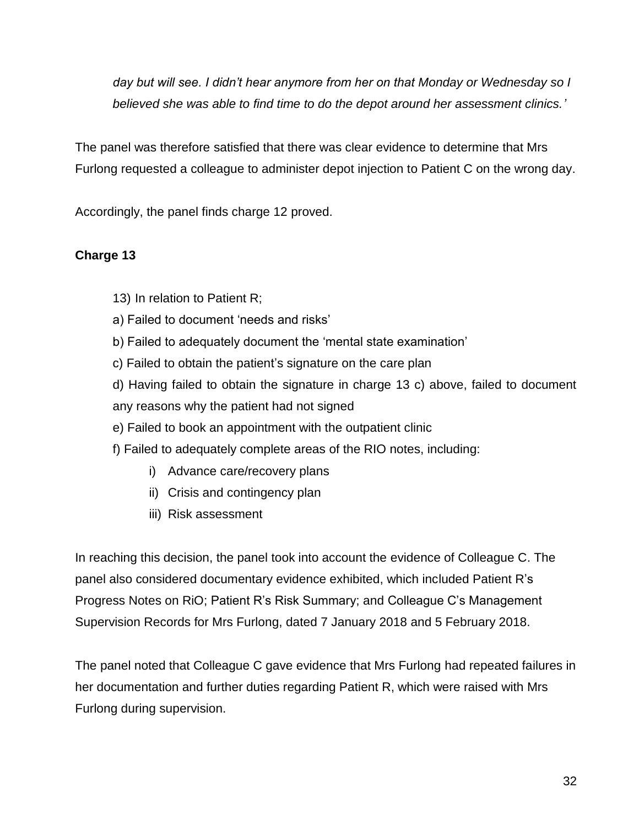*day but will see. I didn't hear anymore from her on that Monday or Wednesday so I believed she was able to find time to do the depot around her assessment clinics.'*

The panel was therefore satisfied that there was clear evidence to determine that Mrs Furlong requested a colleague to administer depot injection to Patient C on the wrong day.

Accordingly, the panel finds charge 12 proved.

# **Charge 13**

- 13) In relation to Patient R;
- a) Failed to document 'needs and risks'
- b) Failed to adequately document the 'mental state examination'
- c) Failed to obtain the patient's signature on the care plan
- d) Having failed to obtain the signature in charge 13 c) above, failed to document any reasons why the patient had not signed
- e) Failed to book an appointment with the outpatient clinic
- f) Failed to adequately complete areas of the RIO notes, including:
	- i) Advance care/recovery plans
	- ii) Crisis and contingency plan
	- iii) Risk assessment

In reaching this decision, the panel took into account the evidence of Colleague C. The panel also considered documentary evidence exhibited, which included Patient R's Progress Notes on RiO; Patient R's Risk Summary; and Colleague C's Management Supervision Records for Mrs Furlong, dated 7 January 2018 and 5 February 2018.

The panel noted that Colleague C gave evidence that Mrs Furlong had repeated failures in her documentation and further duties regarding Patient R, which were raised with Mrs Furlong during supervision.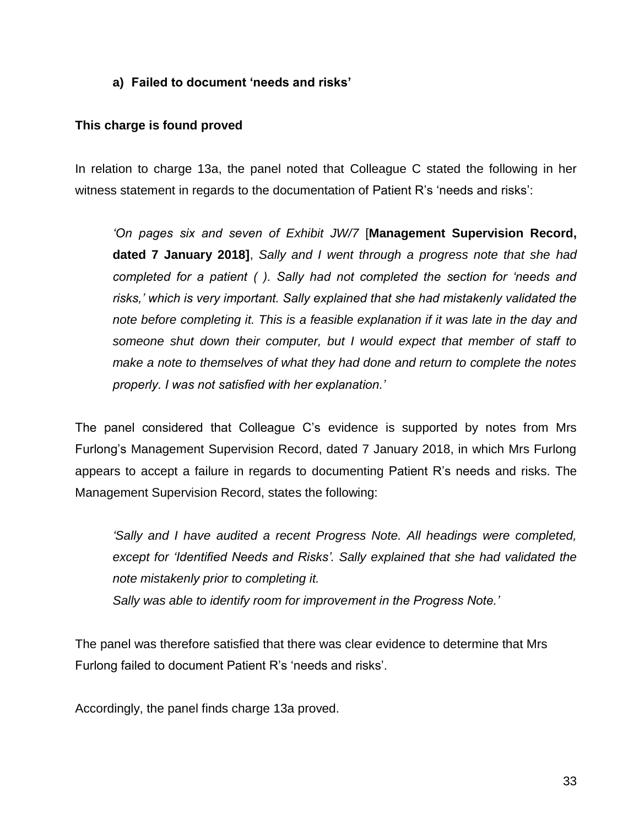#### **a) Failed to document 'needs and risks'**

#### **This charge is found proved**

In relation to charge 13a, the panel noted that Colleague C stated the following in her witness statement in regards to the documentation of Patient R's 'needs and risks':

*'On pages six and seven of Exhibit JW/7* [**Management Supervision Record, dated 7 January 2018]**, *Sally and I went through a progress note that she had completed for a patient ( ). Sally had not completed the section for 'needs and risks,' which is very important. Sally explained that she had mistakenly validated the note before completing it. This is a feasible explanation if it was late in the day and someone shut down their computer, but I would expect that member of staff to make a note to themselves of what they had done and return to complete the notes properly. I was not satisfied with her explanation.'*

The panel considered that Colleague C's evidence is supported by notes from Mrs Furlong's Management Supervision Record, dated 7 January 2018, in which Mrs Furlong appears to accept a failure in regards to documenting Patient R's needs and risks. The Management Supervision Record, states the following:

*'Sally and I have audited a recent Progress Note. All headings were completed, except for 'Identified Needs and Risks'. Sally explained that she had validated the note mistakenly prior to completing it. Sally was able to identify room for improvement in the Progress Note.'*

The panel was therefore satisfied that there was clear evidence to determine that Mrs Furlong failed to document Patient R's 'needs and risks'.

Accordingly, the panel finds charge 13a proved.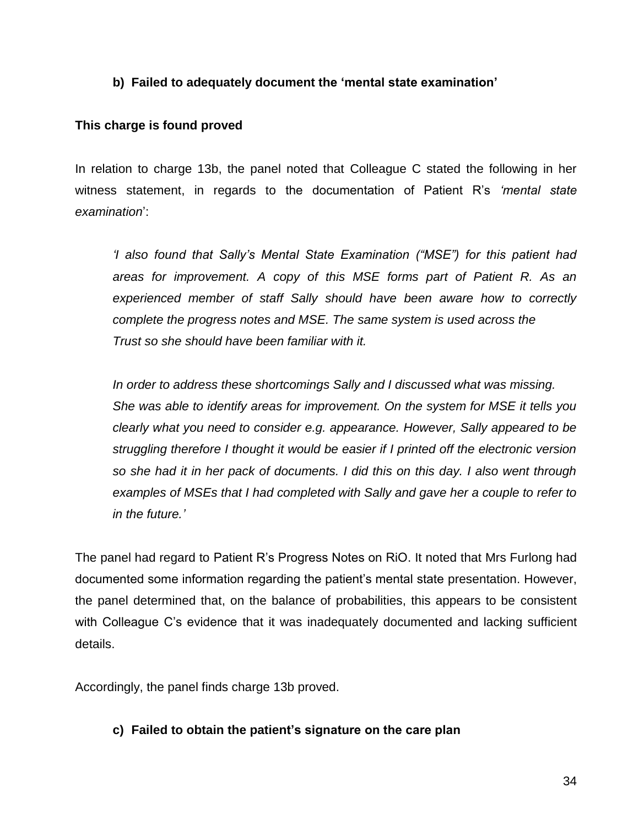#### **b) Failed to adequately document the 'mental state examination'**

#### **This charge is found proved**

In relation to charge 13b, the panel noted that Colleague C stated the following in her witness statement, in regards to the documentation of Patient R's *'mental state examination*':

*'I also found that Sally's Mental State Examination ("MSE") for this patient had areas for improvement. A copy of this MSE forms part of Patient R. As an experienced member of staff Sally should have been aware how to correctly complete the progress notes and MSE. The same system is used across the Trust so she should have been familiar with it.*

*In order to address these shortcomings Sally and I discussed what was missing. She was able to identify areas for improvement. On the system for MSE it tells you clearly what you need to consider e.g. appearance. However, Sally appeared to be struggling therefore I thought it would be easier if I printed off the electronic version so she had it in her pack of documents. I did this on this day. I also went through examples of MSEs that I had completed with Sally and gave her a couple to refer to in the future.'*

The panel had regard to Patient R's Progress Notes on RiO. It noted that Mrs Furlong had documented some information regarding the patient's mental state presentation. However, the panel determined that, on the balance of probabilities, this appears to be consistent with Colleague C's evidence that it was inadequately documented and lacking sufficient details.

Accordingly, the panel finds charge 13b proved.

#### **c) Failed to obtain the patient's signature on the care plan**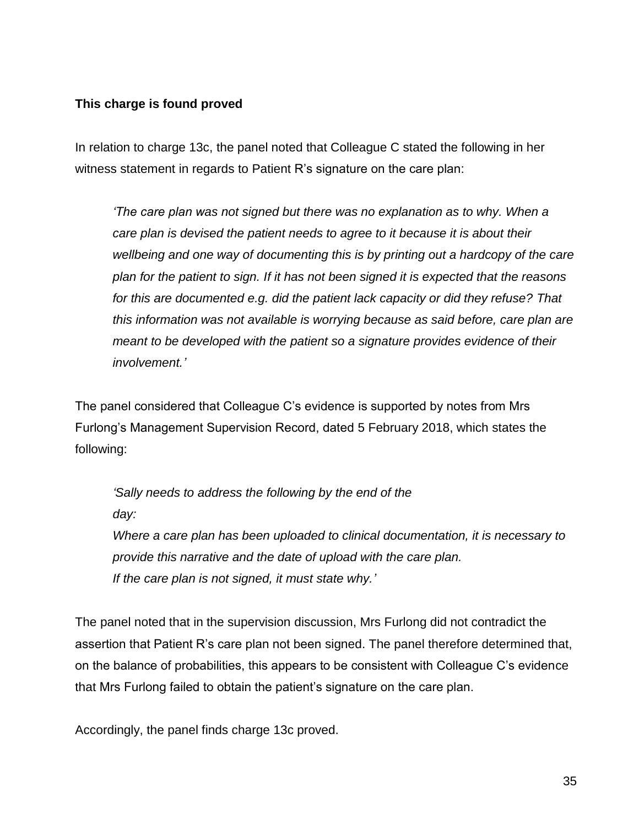### **This charge is found proved**

In relation to charge 13c, the panel noted that Colleague C stated the following in her witness statement in regards to Patient R's signature on the care plan:

*'The care plan was not signed but there was no explanation as to why. When a care plan is devised the patient needs to agree to it because it is about their wellbeing and one way of documenting this is by printing out a hardcopy of the care plan for the patient to sign. If it has not been signed it is expected that the reasons for this are documented e.g. did the patient lack capacity or did they refuse? That this information was not available is worrying because as said before, care plan are meant to be developed with the patient so a signature provides evidence of their involvement.'*

The panel considered that Colleague C's evidence is supported by notes from Mrs Furlong's Management Supervision Record, dated 5 February 2018, which states the following:

*'Sally needs to address the following by the end of the day: Where a care plan has been uploaded to clinical documentation, it is necessary to provide this narrative and the date of upload with the care plan. If the care plan is not signed, it must state why.'*

The panel noted that in the supervision discussion, Mrs Furlong did not contradict the assertion that Patient R's care plan not been signed. The panel therefore determined that, on the balance of probabilities, this appears to be consistent with Colleague C's evidence that Mrs Furlong failed to obtain the patient's signature on the care plan.

Accordingly, the panel finds charge 13c proved.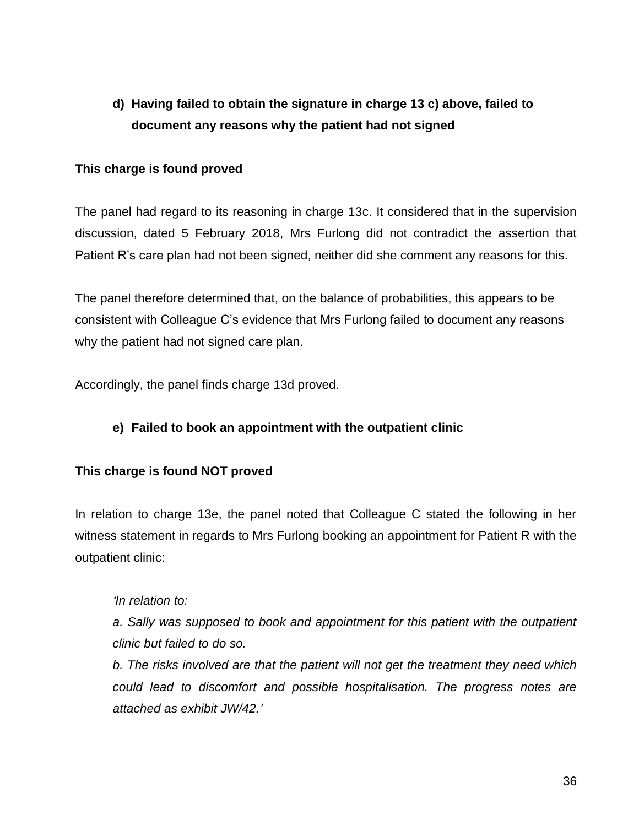# **d) Having failed to obtain the signature in charge 13 c) above, failed to document any reasons why the patient had not signed**

#### **This charge is found proved**

The panel had regard to its reasoning in charge 13c. It considered that in the supervision discussion, dated 5 February 2018, Mrs Furlong did not contradict the assertion that Patient R's care plan had not been signed, neither did she comment any reasons for this.

The panel therefore determined that, on the balance of probabilities, this appears to be consistent with Colleague C's evidence that Mrs Furlong failed to document any reasons why the patient had not signed care plan.

Accordingly, the panel finds charge 13d proved.

### **e) Failed to book an appointment with the outpatient clinic**

### **This charge is found NOT proved**

In relation to charge 13e, the panel noted that Colleague C stated the following in her witness statement in regards to Mrs Furlong booking an appointment for Patient R with the outpatient clinic:

*'In relation to:*

*a. Sally was supposed to book and appointment for this patient with the outpatient clinic but failed to do so.*

*b. The risks involved are that the patient will not get the treatment they need which could lead to discomfort and possible hospitalisation. The progress notes are attached as exhibit JW/42.'*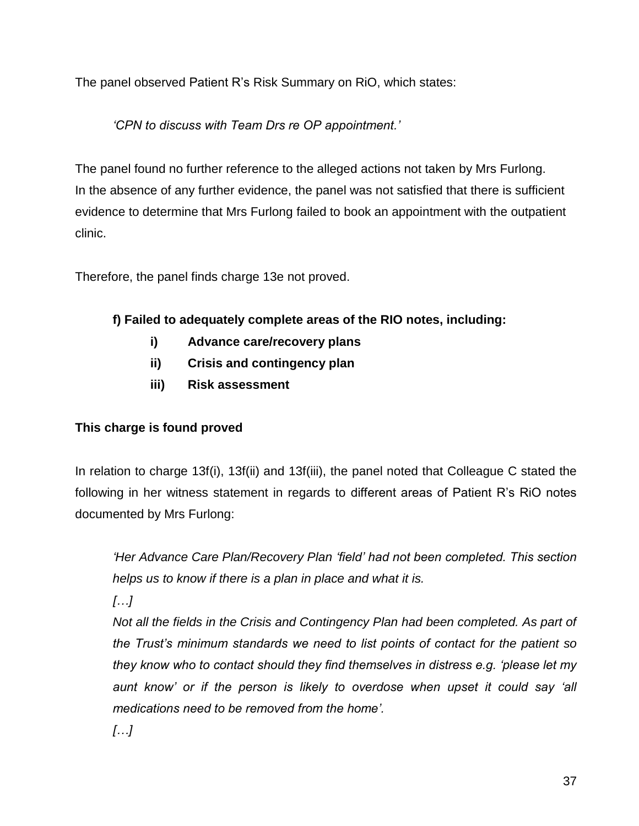The panel observed Patient R's Risk Summary on RiO, which states:

*'CPN to discuss with Team Drs re OP appointment.'* 

The panel found no further reference to the alleged actions not taken by Mrs Furlong. In the absence of any further evidence, the panel was not satisfied that there is sufficient evidence to determine that Mrs Furlong failed to book an appointment with the outpatient clinic.

Therefore, the panel finds charge 13e not proved.

# **f) Failed to adequately complete areas of the RIO notes, including:**

- **i) Advance care/recovery plans**
- **ii) Crisis and contingency plan**
- **iii) Risk assessment**

# **This charge is found proved**

In relation to charge 13f(i), 13f(ii) and 13f(iii), the panel noted that Colleague C stated the following in her witness statement in regards to different areas of Patient R's RiO notes documented by Mrs Furlong:

*'Her Advance Care Plan/Recovery Plan 'field' had not been completed. This section helps us to know if there is a plan in place and what it is.*

*[…]* 

*Not all the fields in the Crisis and Contingency Plan had been completed. As part of the Trust's minimum standards we need to list points of contact for the patient so they know who to contact should they find themselves in distress e.g. 'please let my*  aunt know' or if the person is likely to overdose when upset it could say 'all *medications need to be removed from the home'.*

*[…]*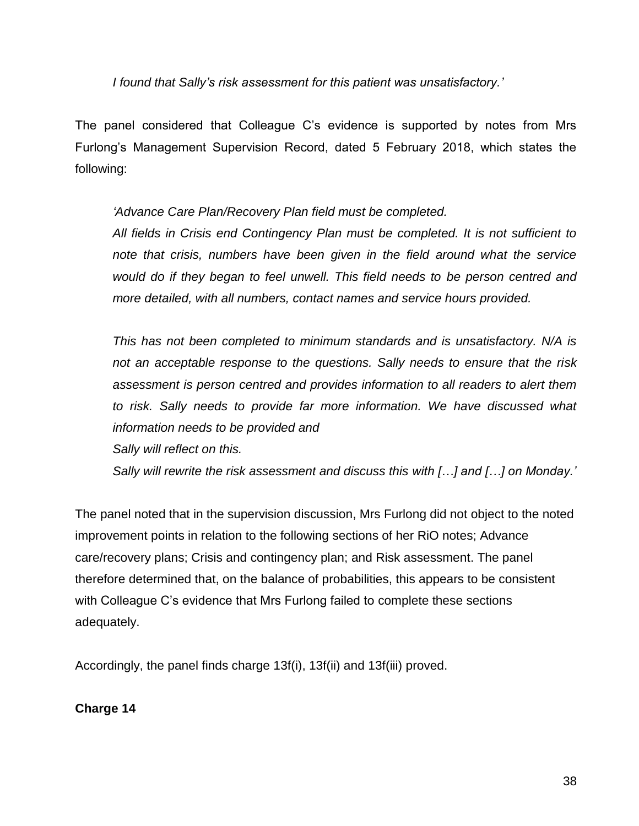*I found that Sally's risk assessment for this patient was unsatisfactory.'*

The panel considered that Colleague C's evidence is supported by notes from Mrs Furlong's Management Supervision Record, dated 5 February 2018, which states the following:

*'Advance Care Plan/Recovery Plan field must be completed.*

*All fields in Crisis end Contingency Plan must be completed. It is not sufficient to note that crisis, numbers have been given in the field around what the service would do if they began to feel unwell. This field needs to be person centred and more detailed, with all numbers, contact names and service hours provided.*

*This has not been completed to minimum standards and is unsatisfactory. N/A is not an acceptable response to the questions. Sally needs to ensure that the risk assessment is person centred and provides information to all readers to alert them*  to risk. Sally needs to provide far more information. We have discussed what *information needs to be provided and* 

*Sally will reflect on this.*

*Sally will rewrite the risk assessment and discuss this with […] and […] on Monday.'*

The panel noted that in the supervision discussion, Mrs Furlong did not object to the noted improvement points in relation to the following sections of her RiO notes; Advance care/recovery plans; Crisis and contingency plan; and Risk assessment. The panel therefore determined that, on the balance of probabilities, this appears to be consistent with Colleague C's evidence that Mrs Furlong failed to complete these sections adequately.

Accordingly, the panel finds charge 13f(i), 13f(ii) and 13f(iii) proved.

### **Charge 14**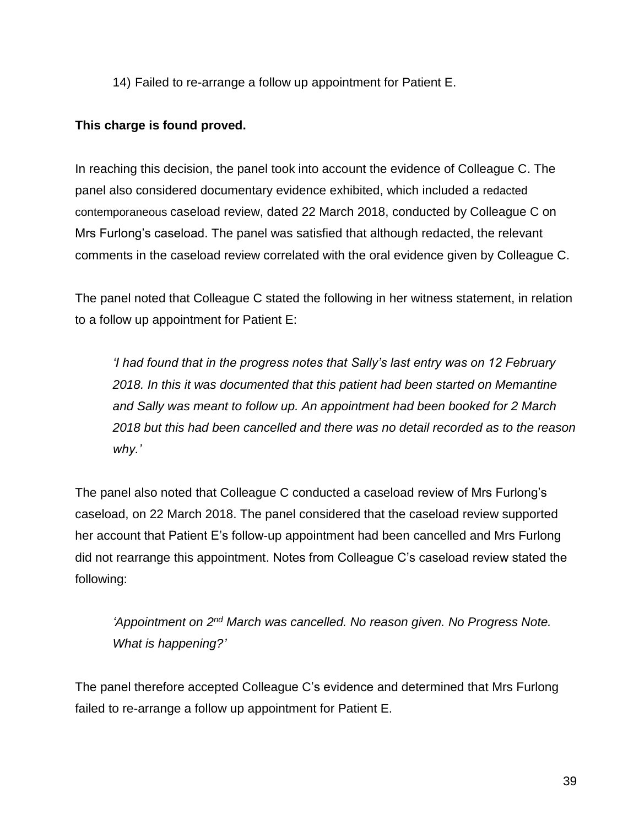14) Failed to re-arrange a follow up appointment for Patient E.

#### **This charge is found proved.**

In reaching this decision, the panel took into account the evidence of Colleague C. The panel also considered documentary evidence exhibited, which included a redacted contemporaneous caseload review, dated 22 March 2018, conducted by Colleague C on Mrs Furlong's caseload. The panel was satisfied that although redacted, the relevant comments in the caseload review correlated with the oral evidence given by Colleague C.

The panel noted that Colleague C stated the following in her witness statement, in relation to a follow up appointment for Patient E:

*'I had found that in the progress notes that Sally's last entry was on 12 February 2018. In this it was documented that this patient had been started on Memantine and Sally was meant to follow up. An appointment had been booked for 2 March 2018 but this had been cancelled and there was no detail recorded as to the reason why.'*

The panel also noted that Colleague C conducted a caseload review of Mrs Furlong's caseload, on 22 March 2018. The panel considered that the caseload review supported her account that Patient E's follow-up appointment had been cancelled and Mrs Furlong did not rearrange this appointment. Notes from Colleague C's caseload review stated the following:

'Appointment on 2<sup>nd</sup> March was cancelled. No reason given. No Progress Note. *What is happening?'*

The panel therefore accepted Colleague C's evidence and determined that Mrs Furlong failed to re-arrange a follow up appointment for Patient E.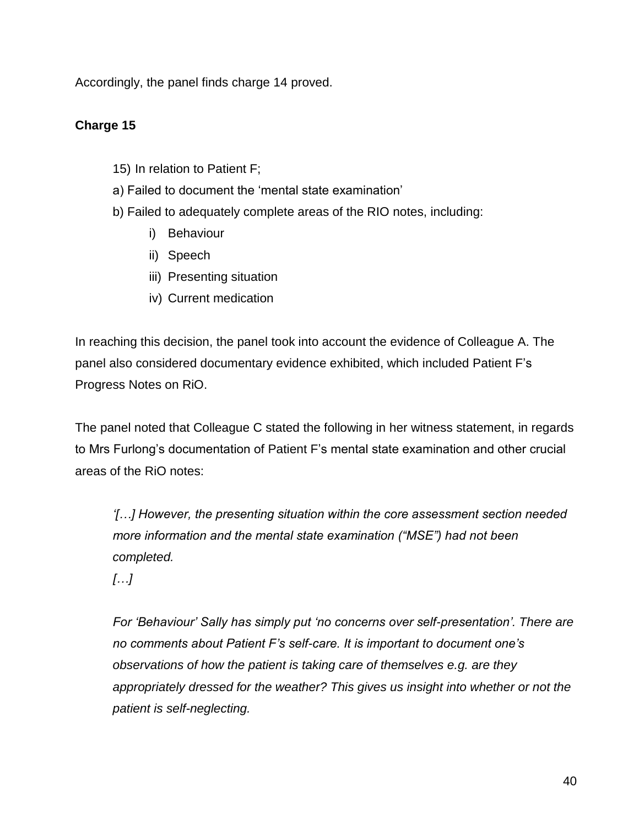Accordingly, the panel finds charge 14 proved.

### **Charge 15**

- 15) In relation to Patient F;
- a) Failed to document the 'mental state examination'
- b) Failed to adequately complete areas of the RIO notes, including:
	- i) Behaviour
	- ii) Speech
	- iii) Presenting situation
	- iv) Current medication

In reaching this decision, the panel took into account the evidence of Colleague A. The panel also considered documentary evidence exhibited, which included Patient F's Progress Notes on RiO.

The panel noted that Colleague C stated the following in her witness statement, in regards to Mrs Furlong's documentation of Patient F's mental state examination and other crucial areas of the RiO notes:

*'[…] However, the presenting situation within the core assessment section needed more information and the mental state examination ("MSE") had not been completed.*

*[…]*

*For 'Behaviour' Sally has simply put 'no concerns over self-presentation'. There are no comments about Patient F's self-care. It is important to document one's observations of how the patient is taking care of themselves e.g. are they appropriately dressed for the weather? This gives us insight into whether or not the patient is self-neglecting.*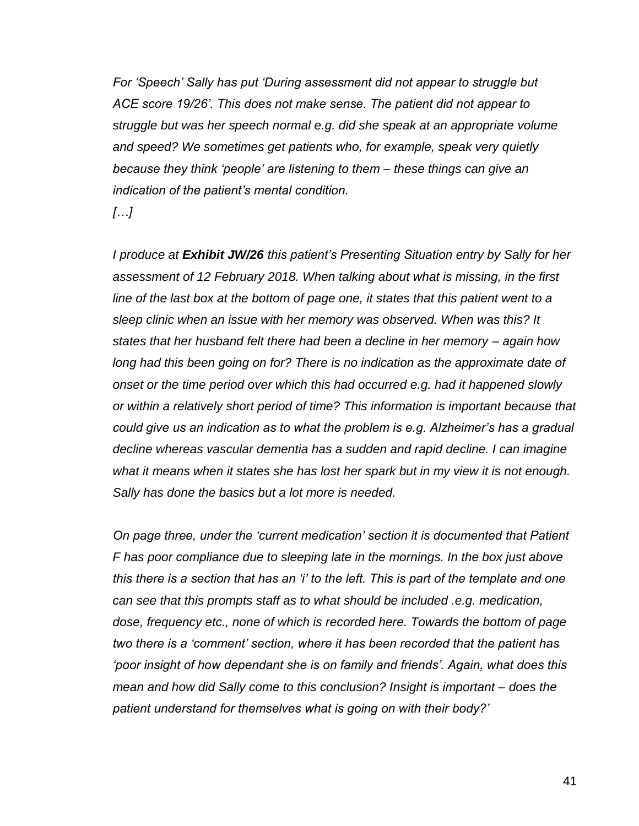*For 'Speech' Sally has put 'During assessment did not appear to struggle but ACE score 19/26'. This does not make sense. The patient did not appear to struggle but was her speech normal e.g. did she speak at an appropriate volume and speed? We sometimes get patients who, for example, speak very quietly because they think 'people' are listening to them – these things can give an indication of the patient's mental condition.*

*[…]* 

*I produce at Exhibit JW/26 this patient's Presenting Situation entry by Sally for her assessment of 12 February 2018. When talking about what is missing, in the first line of the last box at the bottom of page one, it states that this patient went to a sleep clinic when an issue with her memory was observed. When was this? It states that her husband felt there had been a decline in her memory – again how*  long had this been going on for? There is no indication as the approximate date of *onset or the time period over which this had occurred e.g. had it happened slowly or within a relatively short period of time? This information is important because that could give us an indication as to what the problem is e.g. Alzheimer's has a gradual decline whereas vascular dementia has a sudden and rapid decline. I can imagine what it means when it states she has lost her spark but in my view it is not enough. Sally has done the basics but a lot more is needed.*

*On page three, under the 'current medication' section it is documented that Patient F has poor compliance due to sleeping late in the mornings. In the box just above this there is a section that has an 'i' to the left. This is part of the template and one can see that this prompts staff as to what should be included .e.g. medication, dose, frequency etc., none of which is recorded here. Towards the bottom of page two there is a 'comment' section, where it has been recorded that the patient has 'poor insight of how dependant she is on family and friends'. Again, what does this mean and how did Sally come to this conclusion? Insight is important – does the patient understand for themselves what is going on with their body?'*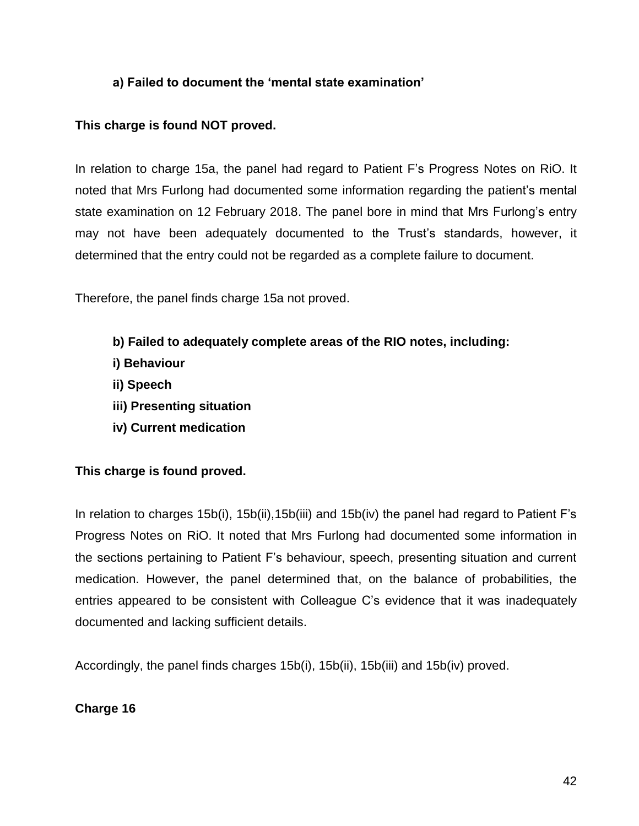### **a) Failed to document the 'mental state examination'**

#### **This charge is found NOT proved.**

In relation to charge 15a, the panel had regard to Patient F's Progress Notes on RiO. It noted that Mrs Furlong had documented some information regarding the patient's mental state examination on 12 February 2018. The panel bore in mind that Mrs Furlong's entry may not have been adequately documented to the Trust's standards, however, it determined that the entry could not be regarded as a complete failure to document.

Therefore, the panel finds charge 15a not proved.

- **b) Failed to adequately complete areas of the RIO notes, including:**
- **i) Behaviour**
- **ii) Speech**
- **iii) Presenting situation**
- **iv) Current medication**

### **This charge is found proved.**

In relation to charges 15b(i), 15b(ii), 15b(iii) and 15b(iv) the panel had regard to Patient F's Progress Notes on RiO. It noted that Mrs Furlong had documented some information in the sections pertaining to Patient F's behaviour, speech, presenting situation and current medication. However, the panel determined that, on the balance of probabilities, the entries appeared to be consistent with Colleague C's evidence that it was inadequately documented and lacking sufficient details.

Accordingly, the panel finds charges 15b(i), 15b(ii), 15b(iii) and 15b(iv) proved.

### **Charge 16**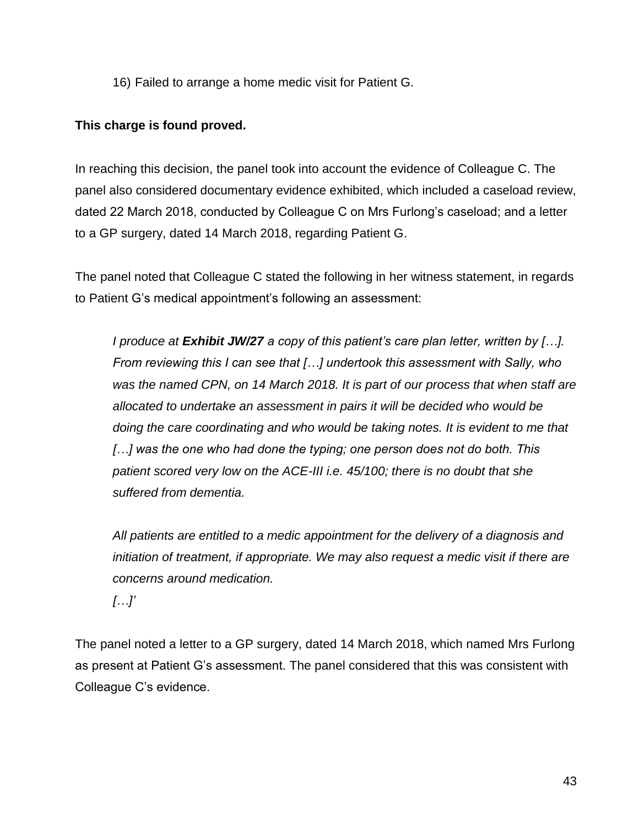16) Failed to arrange a home medic visit for Patient G.

#### **This charge is found proved.**

In reaching this decision, the panel took into account the evidence of Colleague C. The panel also considered documentary evidence exhibited, which included a caseload review, dated 22 March 2018, conducted by Colleague C on Mrs Furlong's caseload; and a letter to a GP surgery, dated 14 March 2018, regarding Patient G.

The panel noted that Colleague C stated the following in her witness statement, in regards to Patient G's medical appointment's following an assessment:

*I produce at Exhibit JW/27 a copy of this patient's care plan letter, written by […]. From reviewing this I can see that […] undertook this assessment with Sally, who was the named CPN, on 14 March 2018. It is part of our process that when staff are allocated to undertake an assessment in pairs it will be decided who would be doing the care coordinating and who would be taking notes. It is evident to me that […] was the one who had done the typing; one person does not do both. This patient scored very low on the ACE-III i.e. 45/100; there is no doubt that she suffered from dementia.*

*All patients are entitled to a medic appointment for the delivery of a diagnosis and initiation of treatment, if appropriate. We may also request a medic visit if there are concerns around medication. […]'*

The panel noted a letter to a GP surgery, dated 14 March 2018, which named Mrs Furlong as present at Patient G's assessment. The panel considered that this was consistent with Colleague C's evidence.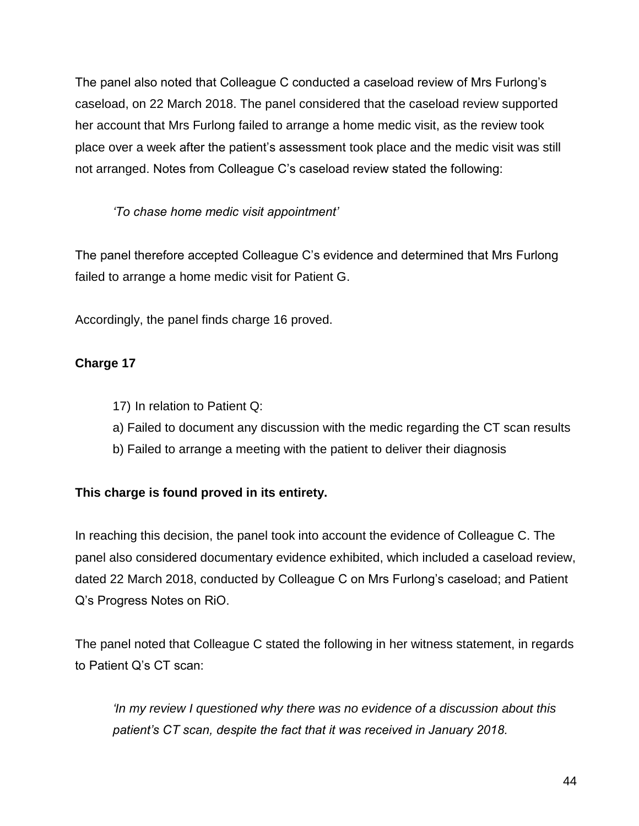The panel also noted that Colleague C conducted a caseload review of Mrs Furlong's caseload, on 22 March 2018. The panel considered that the caseload review supported her account that Mrs Furlong failed to arrange a home medic visit, as the review took place over a week after the patient's assessment took place and the medic visit was still not arranged. Notes from Colleague C's caseload review stated the following:

*'To chase home medic visit appointment'*

The panel therefore accepted Colleague C's evidence and determined that Mrs Furlong failed to arrange a home medic visit for Patient G.

Accordingly, the panel finds charge 16 proved.

# **Charge 17**

- 17) In relation to Patient Q:
- a) Failed to document any discussion with the medic regarding the CT scan results
- b) Failed to arrange a meeting with the patient to deliver their diagnosis

# **This charge is found proved in its entirety.**

In reaching this decision, the panel took into account the evidence of Colleague C. The panel also considered documentary evidence exhibited, which included a caseload review, dated 22 March 2018, conducted by Colleague C on Mrs Furlong's caseload; and Patient Q's Progress Notes on RiO.

The panel noted that Colleague C stated the following in her witness statement, in regards to Patient Q's CT scan:

*'In my review I questioned why there was no evidence of a discussion about this patient's CT scan, despite the fact that it was received in January 2018.*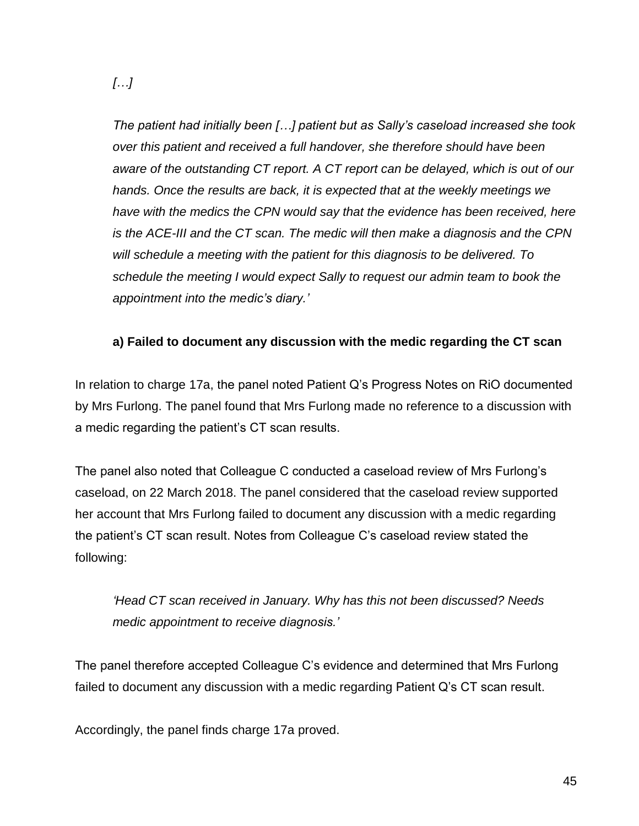*[…]*

*The patient had initially been […] patient but as Sally's caseload increased she took over this patient and received a full handover, she therefore should have been aware of the outstanding CT report. A CT report can be delayed, which is out of our hands. Once the results are back, it is expected that at the weekly meetings we have with the medics the CPN would say that the evidence has been received, here is the ACE-III and the CT scan. The medic will then make a diagnosis and the CPN will schedule a meeting with the patient for this diagnosis to be delivered. To schedule the meeting I would expect Sally to request our admin team to book the appointment into the medic's diary.'*

### **a) Failed to document any discussion with the medic regarding the CT scan**

In relation to charge 17a, the panel noted Patient Q's Progress Notes on RiO documented by Mrs Furlong. The panel found that Mrs Furlong made no reference to a discussion with a medic regarding the patient's CT scan results.

The panel also noted that Colleague C conducted a caseload review of Mrs Furlong's caseload, on 22 March 2018. The panel considered that the caseload review supported her account that Mrs Furlong failed to document any discussion with a medic regarding the patient's CT scan result. Notes from Colleague C's caseload review stated the following:

*'Head CT scan received in January. Why has this not been discussed? Needs medic appointment to receive diagnosis.'*

The panel therefore accepted Colleague C's evidence and determined that Mrs Furlong failed to document any discussion with a medic regarding Patient Q's CT scan result.

Accordingly, the panel finds charge 17a proved.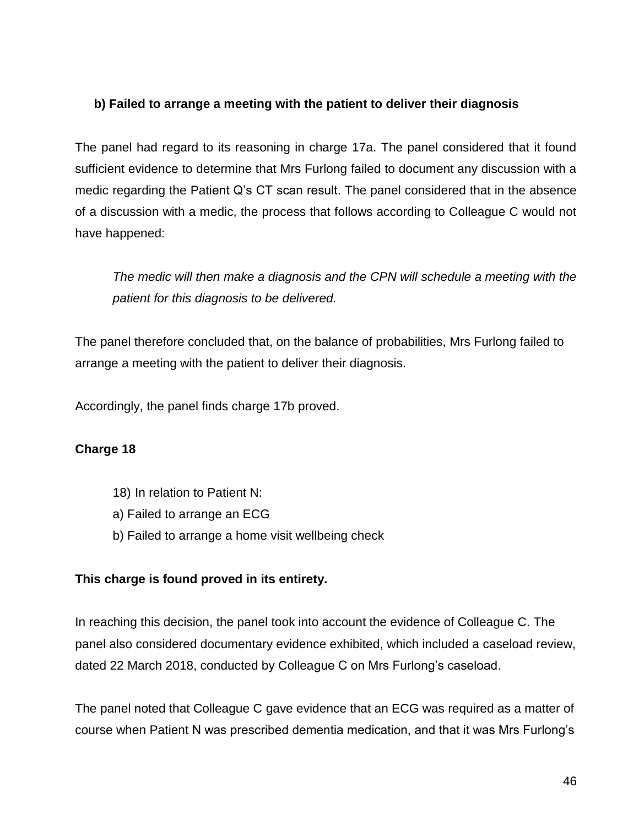### **b) Failed to arrange a meeting with the patient to deliver their diagnosis**

The panel had regard to its reasoning in charge 17a. The panel considered that it found sufficient evidence to determine that Mrs Furlong failed to document any discussion with a medic regarding the Patient Q's CT scan result. The panel considered that in the absence of a discussion with a medic, the process that follows according to Colleague C would not have happened:

*The medic will then make a diagnosis and the CPN will schedule a meeting with the patient for this diagnosis to be delivered.*

The panel therefore concluded that, on the balance of probabilities, Mrs Furlong failed to arrange a meeting with the patient to deliver their diagnosis.

Accordingly, the panel finds charge 17b proved.

# **Charge 18**

- 18) In relation to Patient N:
- a) Failed to arrange an ECG
- b) Failed to arrange a home visit wellbeing check

### **This charge is found proved in its entirety.**

In reaching this decision, the panel took into account the evidence of Colleague C. The panel also considered documentary evidence exhibited, which included a caseload review, dated 22 March 2018, conducted by Colleague C on Mrs Furlong's caseload.

The panel noted that Colleague C gave evidence that an ECG was required as a matter of course when Patient N was prescribed dementia medication, and that it was Mrs Furlong's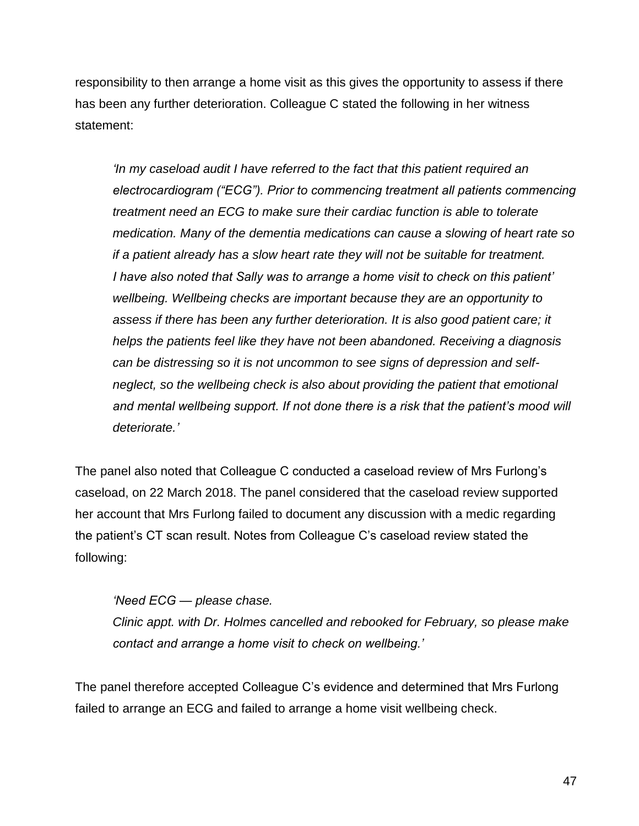responsibility to then arrange a home visit as this gives the opportunity to assess if there has been any further deterioration. Colleague C stated the following in her witness statement:

*'In my caseload audit I have referred to the fact that this patient required an electrocardiogram ("ECG"). Prior to commencing treatment all patients commencing treatment need an ECG to make sure their cardiac function is able to tolerate medication. Many of the dementia medications can cause a slowing of heart rate so if a patient already has a slow heart rate they will not be suitable for treatment. I have also noted that Sally was to arrange a home visit to check on this patient' wellbeing. Wellbeing checks are important because they are an opportunity to assess if there has been any further deterioration. It is also good patient care; it helps the patients feel like they have not been abandoned. Receiving a diagnosis can be distressing so it is not uncommon to see signs of depression and selfneglect, so the wellbeing check is also about providing the patient that emotional and mental wellbeing support. If not done there is a risk that the patient's mood will deteriorate.'*

The panel also noted that Colleague C conducted a caseload review of Mrs Furlong's caseload, on 22 March 2018. The panel considered that the caseload review supported her account that Mrs Furlong failed to document any discussion with a medic regarding the patient's CT scan result. Notes from Colleague C's caseload review stated the following:

*'Need ECG — please chase. Clinic appt. with Dr. Holmes cancelled and rebooked for February, so please make contact and arrange a home visit to check on wellbeing.'*

The panel therefore accepted Colleague C's evidence and determined that Mrs Furlong failed to arrange an ECG and failed to arrange a home visit wellbeing check.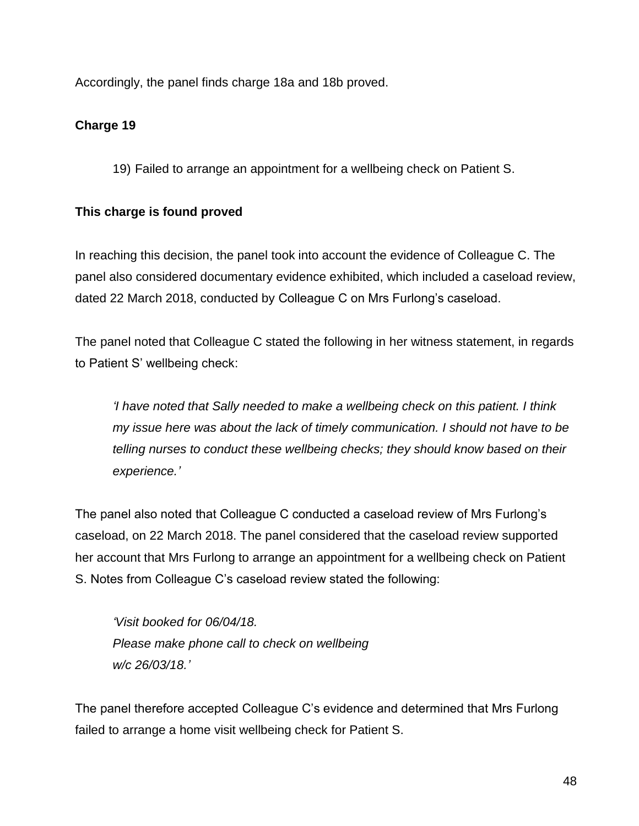Accordingly, the panel finds charge 18a and 18b proved.

# **Charge 19**

19) Failed to arrange an appointment for a wellbeing check on Patient S.

# **This charge is found proved**

In reaching this decision, the panel took into account the evidence of Colleague C. The panel also considered documentary evidence exhibited, which included a caseload review, dated 22 March 2018, conducted by Colleague C on Mrs Furlong's caseload.

The panel noted that Colleague C stated the following in her witness statement, in regards to Patient S' wellbeing check:

*'I have noted that Sally needed to make a wellbeing check on this patient. I think my issue here was about the lack of timely communication. I should not have to be telling nurses to conduct these wellbeing checks; they should know based on their experience.'*

The panel also noted that Colleague C conducted a caseload review of Mrs Furlong's caseload, on 22 March 2018. The panel considered that the caseload review supported her account that Mrs Furlong to arrange an appointment for a wellbeing check on Patient S. Notes from Colleague C's caseload review stated the following:

*'Visit booked for 06/04/18. Please make phone call to check on wellbeing w/c 26/03/18.'*

The panel therefore accepted Colleague C's evidence and determined that Mrs Furlong failed to arrange a home visit wellbeing check for Patient S.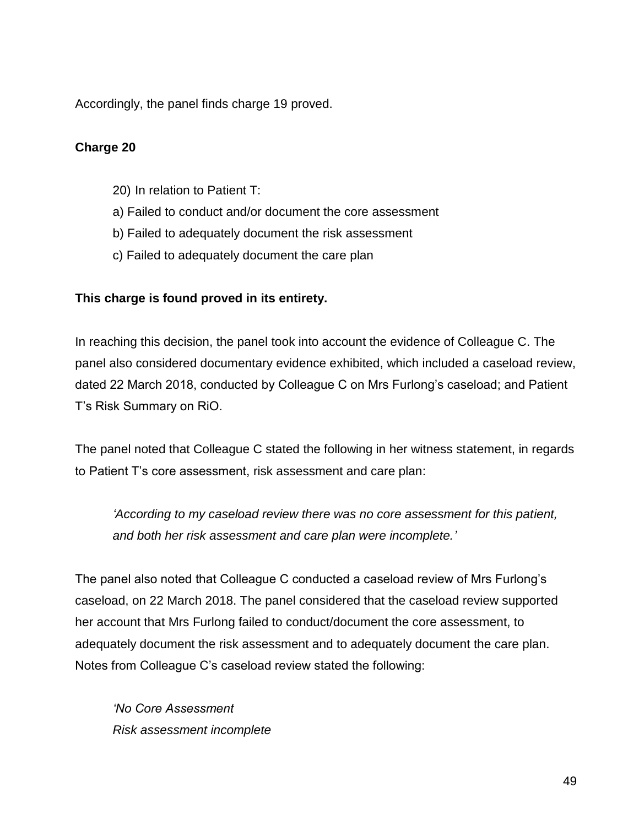Accordingly, the panel finds charge 19 proved.

### **Charge 20**

- 20) In relation to Patient T:
- a) Failed to conduct and/or document the core assessment
- b) Failed to adequately document the risk assessment
- c) Failed to adequately document the care plan

#### **This charge is found proved in its entirety.**

In reaching this decision, the panel took into account the evidence of Colleague C. The panel also considered documentary evidence exhibited, which included a caseload review, dated 22 March 2018, conducted by Colleague C on Mrs Furlong's caseload; and Patient T's Risk Summary on RiO.

The panel noted that Colleague C stated the following in her witness statement, in regards to Patient T's core assessment, risk assessment and care plan:

*'According to my caseload review there was no core assessment for this patient, and both her risk assessment and care plan were incomplete.'*

The panel also noted that Colleague C conducted a caseload review of Mrs Furlong's caseload, on 22 March 2018. The panel considered that the caseload review supported her account that Mrs Furlong failed to conduct/document the core assessment, to adequately document the risk assessment and to adequately document the care plan. Notes from Colleague C's caseload review stated the following:

*'No Core Assessment Risk assessment incomplete*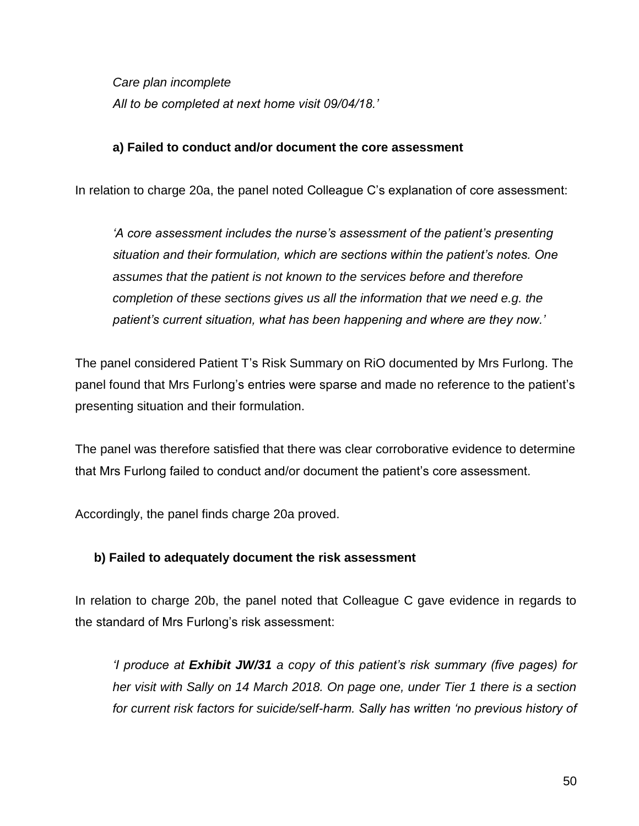*Care plan incomplete All to be completed at next home visit 09/04/18.'*

#### **a) Failed to conduct and/or document the core assessment**

In relation to charge 20a, the panel noted Colleague C's explanation of core assessment:

*'A core assessment includes the nurse's assessment of the patient's presenting situation and their formulation, which are sections within the patient's notes. One assumes that the patient is not known to the services before and therefore completion of these sections gives us all the information that we need e.g. the patient's current situation, what has been happening and where are they now.'*

The panel considered Patient T's Risk Summary on RiO documented by Mrs Furlong. The panel found that Mrs Furlong's entries were sparse and made no reference to the patient's presenting situation and their formulation.

The panel was therefore satisfied that there was clear corroborative evidence to determine that Mrs Furlong failed to conduct and/or document the patient's core assessment.

Accordingly, the panel finds charge 20a proved.

### **b) Failed to adequately document the risk assessment**

In relation to charge 20b, the panel noted that Colleague C gave evidence in regards to the standard of Mrs Furlong's risk assessment:

*'I produce at Exhibit JW/31 a copy of this patient's risk summary (five pages) for her visit with Sally on 14 March 2018. On page one, under Tier 1 there is a section for current risk factors for suicide/self-harm. Sally has written 'no previous history of*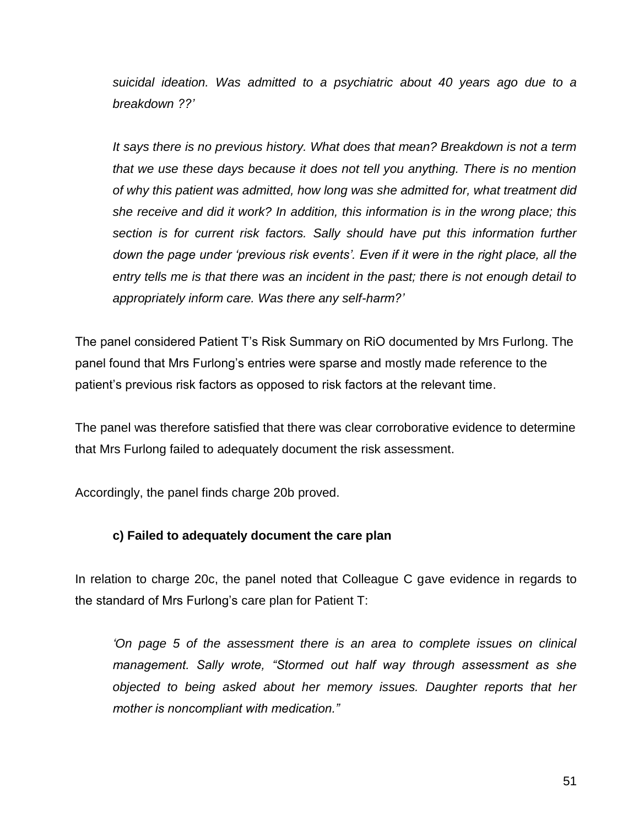*suicidal ideation. Was admitted to a psychiatric about 40 years ago due to a breakdown ??'*

*It says there is no previous history. What does that mean? Breakdown is not a term that we use these days because it does not tell you anything. There is no mention of why this patient was admitted, how long was she admitted for, what treatment did she receive and did it work? In addition, this information is in the wrong place; this section is for current risk factors. Sally should have put this information further down the page under 'previous risk events'. Even if it were in the right place, all the entry tells me is that there was an incident in the past; there is not enough detail to appropriately inform care. Was there any self-harm?'*

The panel considered Patient T's Risk Summary on RiO documented by Mrs Furlong. The panel found that Mrs Furlong's entries were sparse and mostly made reference to the patient's previous risk factors as opposed to risk factors at the relevant time.

The panel was therefore satisfied that there was clear corroborative evidence to determine that Mrs Furlong failed to adequately document the risk assessment.

Accordingly, the panel finds charge 20b proved.

### **c) Failed to adequately document the care plan**

In relation to charge 20c, the panel noted that Colleague C gave evidence in regards to the standard of Mrs Furlong's care plan for Patient T:

*'On page 5 of the assessment there is an area to complete issues on clinical management. Sally wrote, "Stormed out half way through assessment as she objected to being asked about her memory issues. Daughter reports that her mother is noncompliant with medication."*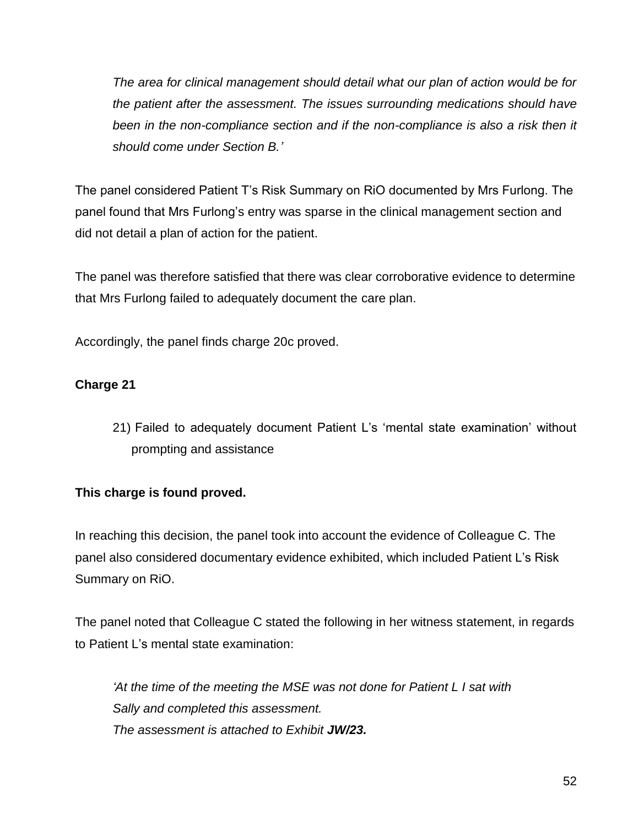*The area for clinical management should detail what our plan of action would be for the patient after the assessment. The issues surrounding medications should have*  been in the non-compliance section and if the non-compliance is also a risk then it *should come under Section B.'*

The panel considered Patient T's Risk Summary on RiO documented by Mrs Furlong. The panel found that Mrs Furlong's entry was sparse in the clinical management section and did not detail a plan of action for the patient.

The panel was therefore satisfied that there was clear corroborative evidence to determine that Mrs Furlong failed to adequately document the care plan.

Accordingly, the panel finds charge 20c proved.

# **Charge 21**

21) Failed to adequately document Patient L's 'mental state examination' without prompting and assistance

# **This charge is found proved.**

In reaching this decision, the panel took into account the evidence of Colleague C. The panel also considered documentary evidence exhibited, which included Patient L's Risk Summary on RiO.

The panel noted that Colleague C stated the following in her witness statement, in regards to Patient L's mental state examination:

*'At the time of the meeting the MSE was not done for Patient L I sat with Sally and completed this assessment. The assessment is attached to Exhibit JW/23.*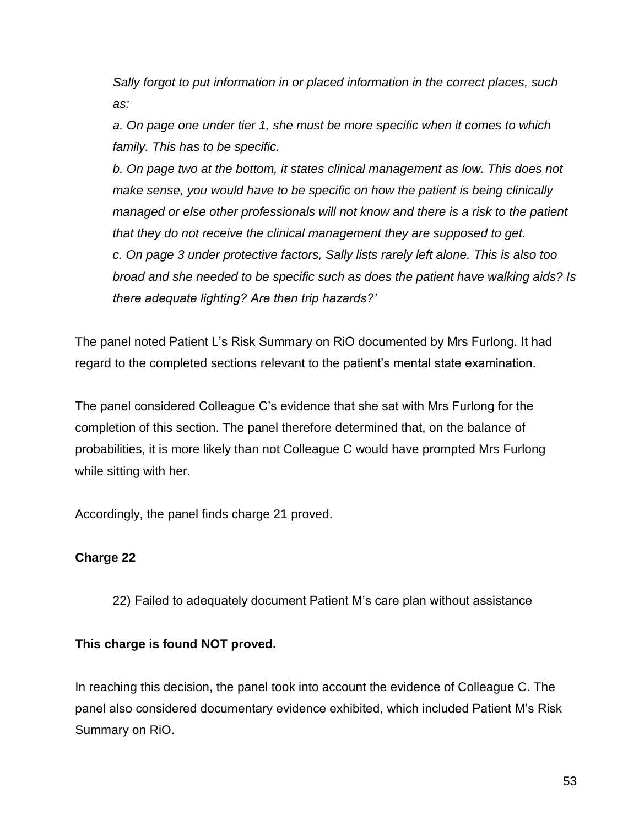*Sally forgot to put information in or placed information in the correct places, such as:*

*a. On page one under tier 1, she must be more specific when it comes to which family. This has to be specific.*

*b. On page two at the bottom, it states clinical management as low. This does not make sense, you would have to be specific on how the patient is being clinically managed or else other professionals will not know and there is a risk to the patient that they do not receive the clinical management they are supposed to get. c. On page 3 under protective factors, Sally lists rarely left alone. This is also too broad and she needed to be specific such as does the patient have walking aids? Is there adequate lighting? Are then trip hazards?'*

The panel noted Patient L's Risk Summary on RiO documented by Mrs Furlong. It had regard to the completed sections relevant to the patient's mental state examination.

The panel considered Colleague C's evidence that she sat with Mrs Furlong for the completion of this section. The panel therefore determined that, on the balance of probabilities, it is more likely than not Colleague C would have prompted Mrs Furlong while sitting with her.

Accordingly, the panel finds charge 21 proved.

# **Charge 22**

22) Failed to adequately document Patient M's care plan without assistance

### **This charge is found NOT proved.**

In reaching this decision, the panel took into account the evidence of Colleague C. The panel also considered documentary evidence exhibited, which included Patient M's Risk Summary on RiO.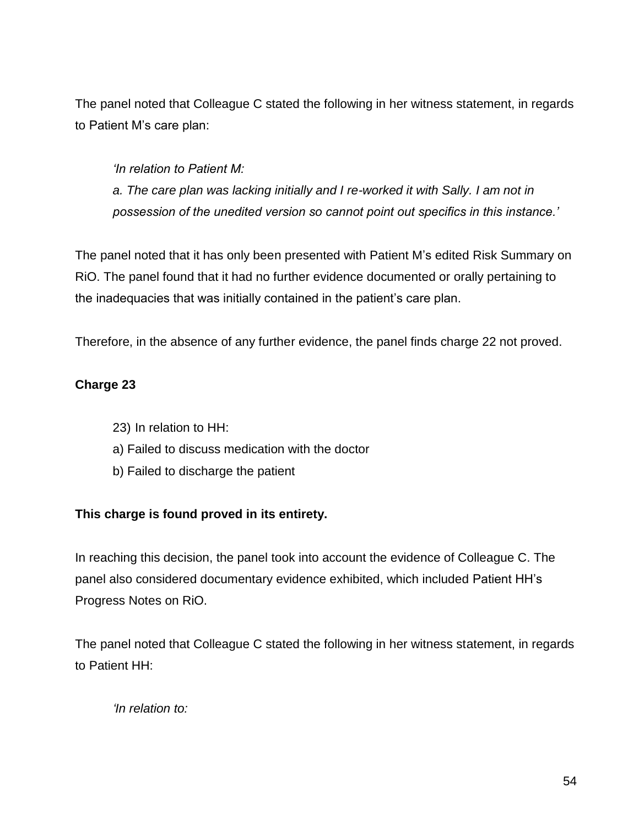The panel noted that Colleague C stated the following in her witness statement, in regards to Patient M's care plan:

*'In relation to Patient M: a. The care plan was lacking initially and I re-worked it with Sally. I am not in possession of the unedited version so cannot point out specifics in this instance.'*

The panel noted that it has only been presented with Patient M's edited Risk Summary on RiO. The panel found that it had no further evidence documented or orally pertaining to the inadequacies that was initially contained in the patient's care plan.

Therefore, in the absence of any further evidence, the panel finds charge 22 not proved.

# **Charge 23**

- 23) In relation to HH:
- a) Failed to discuss medication with the doctor
- b) Failed to discharge the patient

### **This charge is found proved in its entirety.**

In reaching this decision, the panel took into account the evidence of Colleague C. The panel also considered documentary evidence exhibited, which included Patient HH's Progress Notes on RiO.

The panel noted that Colleague C stated the following in her witness statement, in regards to Patient HH:

*'In relation to:*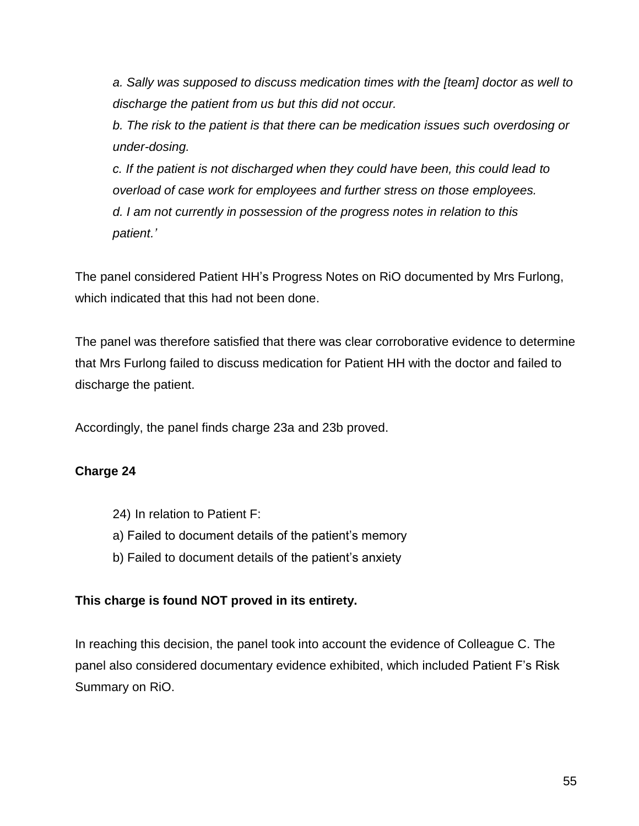*a. Sally was supposed to discuss medication times with the [team] doctor as well to discharge the patient from us but this did not occur.*

*b. The risk to the patient is that there can be medication issues such overdosing or under-dosing.*

*c. If the patient is not discharged when they could have been, this could lead to overload of case work for employees and further stress on those employees. d. I am not currently in possession of the progress notes in relation to this patient.'*

The panel considered Patient HH's Progress Notes on RiO documented by Mrs Furlong, which indicated that this had not been done.

The panel was therefore satisfied that there was clear corroborative evidence to determine that Mrs Furlong failed to discuss medication for Patient HH with the doctor and failed to discharge the patient.

Accordingly, the panel finds charge 23a and 23b proved.

### **Charge 24**

- 24) In relation to Patient F:
- a) Failed to document details of the patient's memory
- b) Failed to document details of the patient's anxiety

### **This charge is found NOT proved in its entirety.**

In reaching this decision, the panel took into account the evidence of Colleague C. The panel also considered documentary evidence exhibited, which included Patient F's Risk Summary on RiO.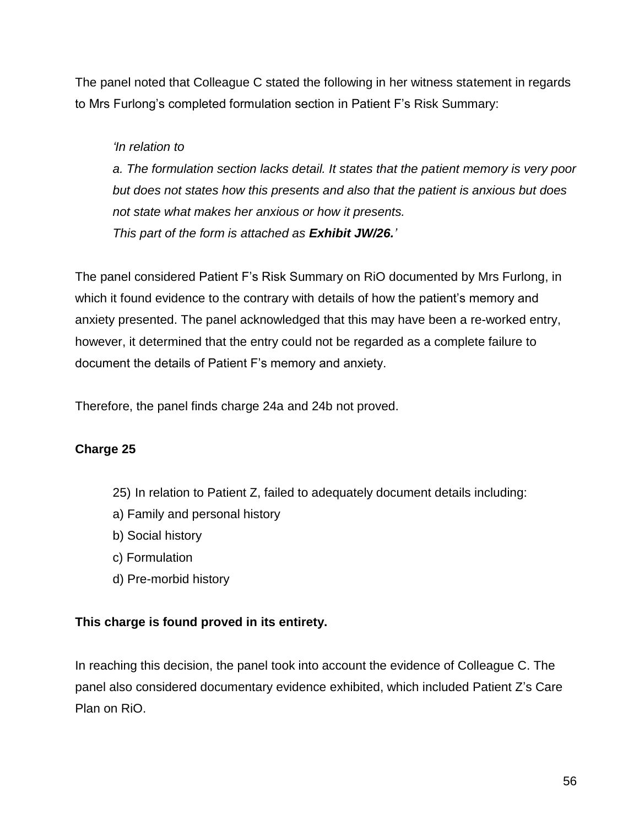The panel noted that Colleague C stated the following in her witness statement in regards to Mrs Furlong's completed formulation section in Patient F's Risk Summary:

### *'In relation to*

*a. The formulation section lacks detail. It states that the patient memory is very poor but does not states how this presents and also that the patient is anxious but does not state what makes her anxious or how it presents. This part of the form is attached as Exhibit JW/26.'*

The panel considered Patient F's Risk Summary on RiO documented by Mrs Furlong, in which it found evidence to the contrary with details of how the patient's memory and anxiety presented. The panel acknowledged that this may have been a re-worked entry, however, it determined that the entry could not be regarded as a complete failure to document the details of Patient F's memory and anxiety.

Therefore, the panel finds charge 24a and 24b not proved.

# **Charge 25**

- 25) In relation to Patient Z, failed to adequately document details including:
- a) Family and personal history
- b) Social history
- c) Formulation
- d) Pre-morbid history

### **This charge is found proved in its entirety.**

In reaching this decision, the panel took into account the evidence of Colleague C. The panel also considered documentary evidence exhibited, which included Patient Z's Care Plan on RiO.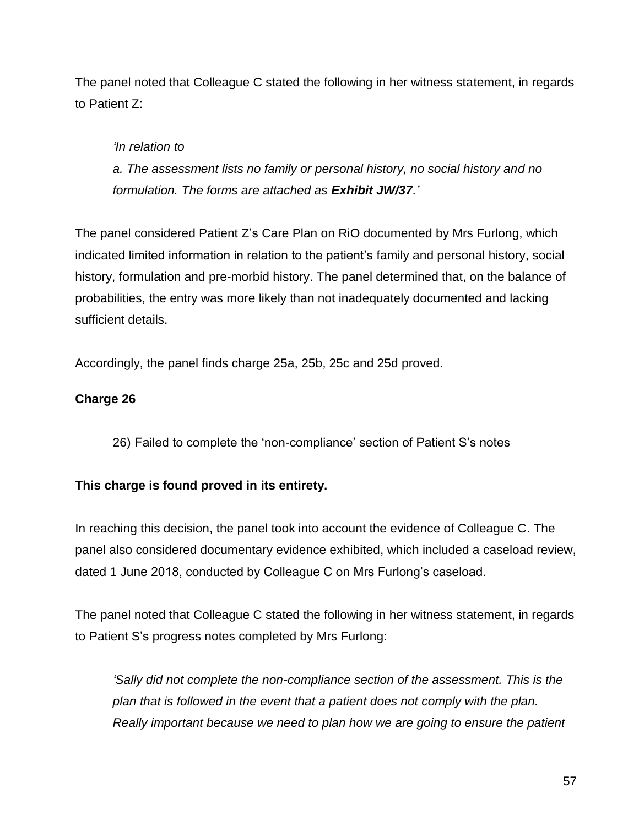The panel noted that Colleague C stated the following in her witness statement, in regards to Patient Z:

# *'In relation to*

*a. The assessment lists no family or personal history, no social history and no formulation. The forms are attached as Exhibit JW/37.'*

The panel considered Patient Z's Care Plan on RiO documented by Mrs Furlong, which indicated limited information in relation to the patient's family and personal history, social history, formulation and pre-morbid history. The panel determined that, on the balance of probabilities, the entry was more likely than not inadequately documented and lacking sufficient details.

Accordingly, the panel finds charge 25a, 25b, 25c and 25d proved.

### **Charge 26**

26) Failed to complete the 'non-compliance' section of Patient S's notes

# **This charge is found proved in its entirety.**

In reaching this decision, the panel took into account the evidence of Colleague C. The panel also considered documentary evidence exhibited, which included a caseload review, dated 1 June 2018, conducted by Colleague C on Mrs Furlong's caseload.

The panel noted that Colleague C stated the following in her witness statement, in regards to Patient S's progress notes completed by Mrs Furlong:

*'Sally did not complete the non-compliance section of the assessment. This is the plan that is followed in the event that a patient does not comply with the plan. Really important because we need to plan how we are going to ensure the patient*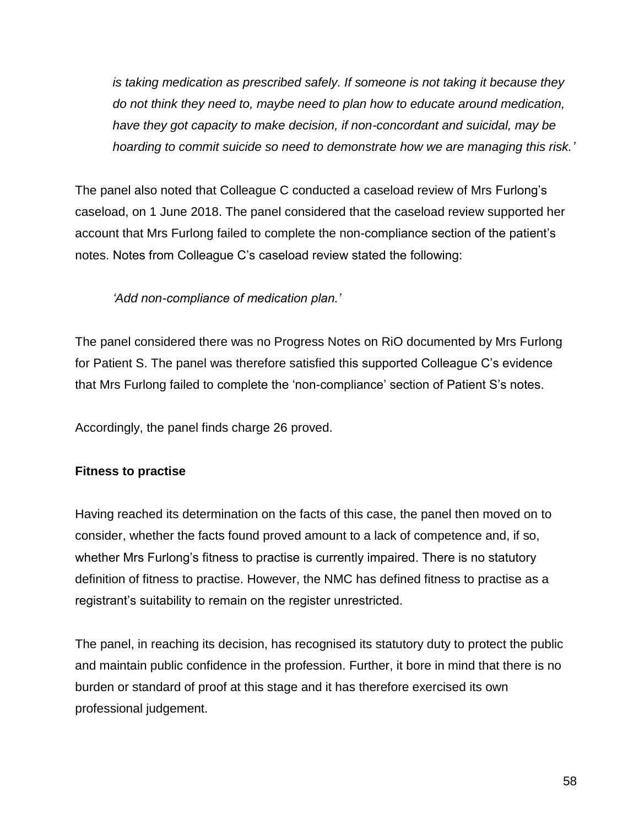*is taking medication as prescribed safely. If someone is not taking it because they do not think they need to, maybe need to plan how to educate around medication, have they got capacity to make decision, if non-concordant and suicidal, may be hoarding to commit suicide so need to demonstrate how we are managing this risk.'*

The panel also noted that Colleague C conducted a caseload review of Mrs Furlong's caseload, on 1 June 2018. The panel considered that the caseload review supported her account that Mrs Furlong failed to complete the non-compliance section of the patient's notes. Notes from Colleague C's caseload review stated the following:

*'Add non-compliance of medication plan.'*

The panel considered there was no Progress Notes on RiO documented by Mrs Furlong for Patient S. The panel was therefore satisfied this supported Colleague C's evidence that Mrs Furlong failed to complete the 'non-compliance' section of Patient S's notes.

Accordingly, the panel finds charge 26 proved.

### **Fitness to practise**

Having reached its determination on the facts of this case, the panel then moved on to consider, whether the facts found proved amount to a lack of competence and, if so, whether Mrs Furlong's fitness to practise is currently impaired. There is no statutory definition of fitness to practise. However, the NMC has defined fitness to practise as a registrant's suitability to remain on the register unrestricted.

The panel, in reaching its decision, has recognised its statutory duty to protect the public and maintain public confidence in the profession. Further, it bore in mind that there is no burden or standard of proof at this stage and it has therefore exercised its own professional judgement.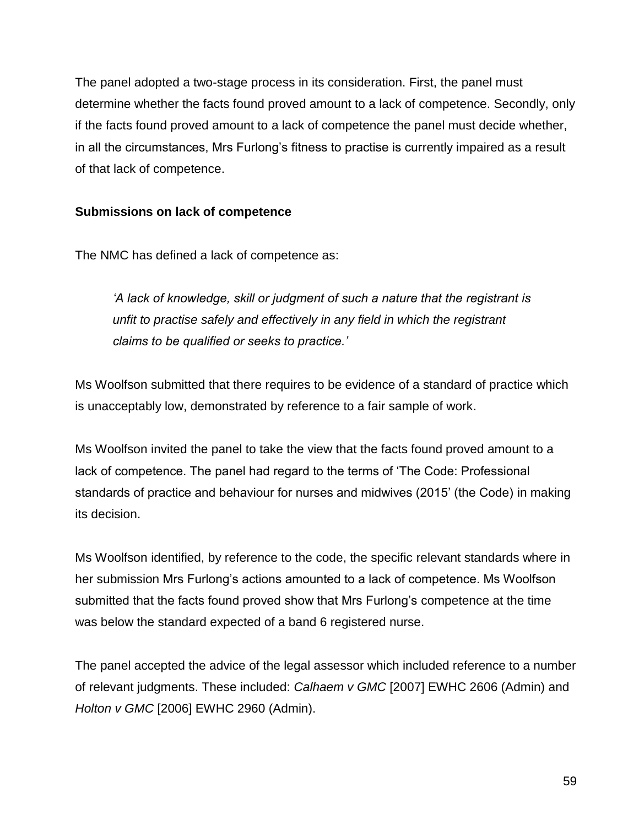The panel adopted a two-stage process in its consideration. First, the panel must determine whether the facts found proved amount to a lack of competence. Secondly, only if the facts found proved amount to a lack of competence the panel must decide whether, in all the circumstances, Mrs Furlong's fitness to practise is currently impaired as a result of that lack of competence.

### **Submissions on lack of competence**

The NMC has defined a lack of competence as:

*'A lack of knowledge, skill or judgment of such a nature that the registrant is unfit to practise safely and effectively in any field in which the registrant claims to be qualified or seeks to practice.'*

Ms Woolfson submitted that there requires to be evidence of a standard of practice which is unacceptably low, demonstrated by reference to a fair sample of work.

Ms Woolfson invited the panel to take the view that the facts found proved amount to a lack of competence. The panel had regard to the terms of 'The Code: Professional standards of practice and behaviour for nurses and midwives (2015' (the Code) in making its decision.

Ms Woolfson identified, by reference to the code, the specific relevant standards where in her submission Mrs Furlong's actions amounted to a lack of competence. Ms Woolfson submitted that the facts found proved show that Mrs Furlong's competence at the time was below the standard expected of a band 6 registered nurse.

The panel accepted the advice of the legal assessor which included reference to a number of relevant judgments. These included: *Calhaem v GMC* [2007] EWHC 2606 (Admin) and *Holton v GMC* [2006] EWHC 2960 (Admin).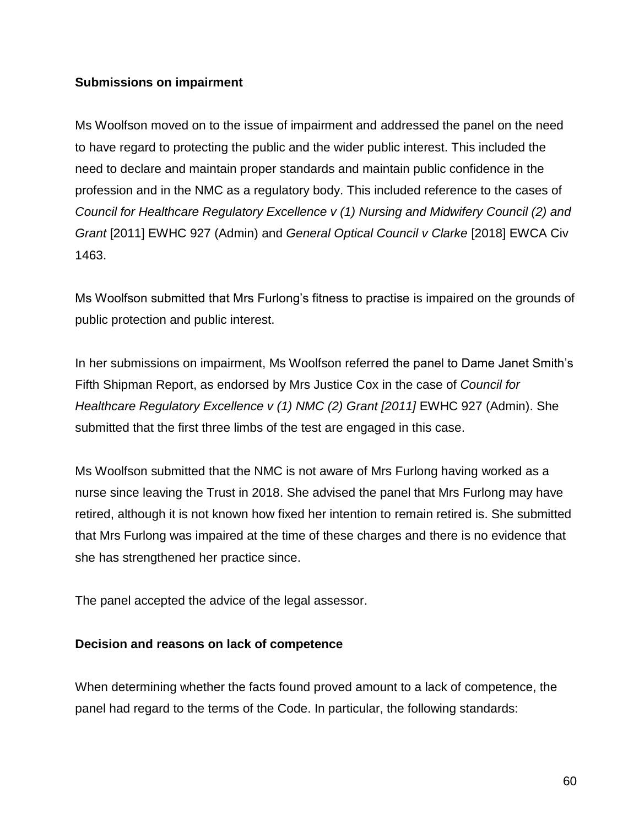#### **Submissions on impairment**

Ms Woolfson moved on to the issue of impairment and addressed the panel on the need to have regard to protecting the public and the wider public interest. This included the need to declare and maintain proper standards and maintain public confidence in the profession and in the NMC as a regulatory body. This included reference to the cases of *Council for Healthcare Regulatory Excellence v (1) Nursing and Midwifery Council (2) and Grant* [2011] EWHC 927 (Admin) and *General Optical Council v Clarke* [2018] EWCA Civ 1463.

Ms Woolfson submitted that Mrs Furlong's fitness to practise is impaired on the grounds of public protection and public interest.

In her submissions on impairment, Ms Woolfson referred the panel to Dame Janet Smith's Fifth Shipman Report, as endorsed by Mrs Justice Cox in the case of *Council for Healthcare Regulatory Excellence v (1) NMC (2) Grant [2011] EWHC 927 (Admin). She* submitted that the first three limbs of the test are engaged in this case.

Ms Woolfson submitted that the NMC is not aware of Mrs Furlong having worked as a nurse since leaving the Trust in 2018. She advised the panel that Mrs Furlong may have retired, although it is not known how fixed her intention to remain retired is. She submitted that Mrs Furlong was impaired at the time of these charges and there is no evidence that she has strengthened her practice since.

The panel accepted the advice of the legal assessor.

#### **Decision and reasons on lack of competence**

When determining whether the facts found proved amount to a lack of competence, the panel had regard to the terms of the Code. In particular, the following standards: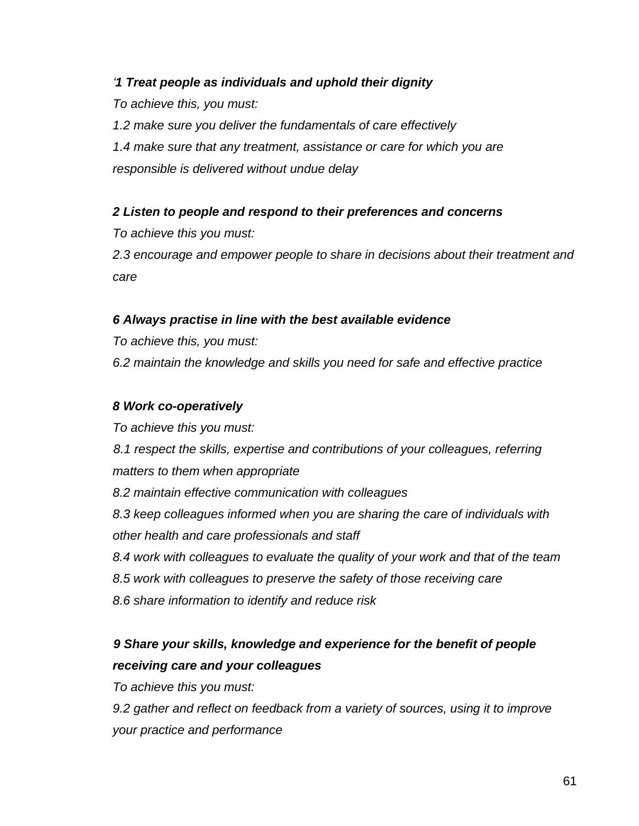### *'1 Treat people as individuals and uphold their dignity*

*To achieve this, you must: 1.2 make sure you deliver the fundamentals of care effectively 1.4 make sure that any treatment, assistance or care for which you are responsible is delivered without undue delay*

### *2 Listen to people and respond to their preferences and concerns*

*To achieve this you must:* 

*2.3 encourage and empower people to share in decisions about their treatment and care*

### *6 Always practise in line with the best available evidence*

*To achieve this, you must:*

*6.2 maintain the knowledge and skills you need for safe and effective practice*

#### *8 Work co-operatively*

*To achieve this you must: 8.1 respect the skills, expertise and contributions of your colleagues, referring matters to them when appropriate 8.2 maintain effective communication with colleagues 8.3 keep colleagues informed when you are sharing the care of individuals with other health and care professionals and staff 8.4 work with colleagues to evaluate the quality of your work and that of the team 8.5 work with colleagues to preserve the safety of those receiving care 8.6 share information to identify and reduce risk* 

# *9 Share your skills, knowledge and experience for the benefit of people receiving care and your colleagues*

*To achieve this you must:*

*9.2 gather and reflect on feedback from a variety of sources, using it to improve your practice and performance*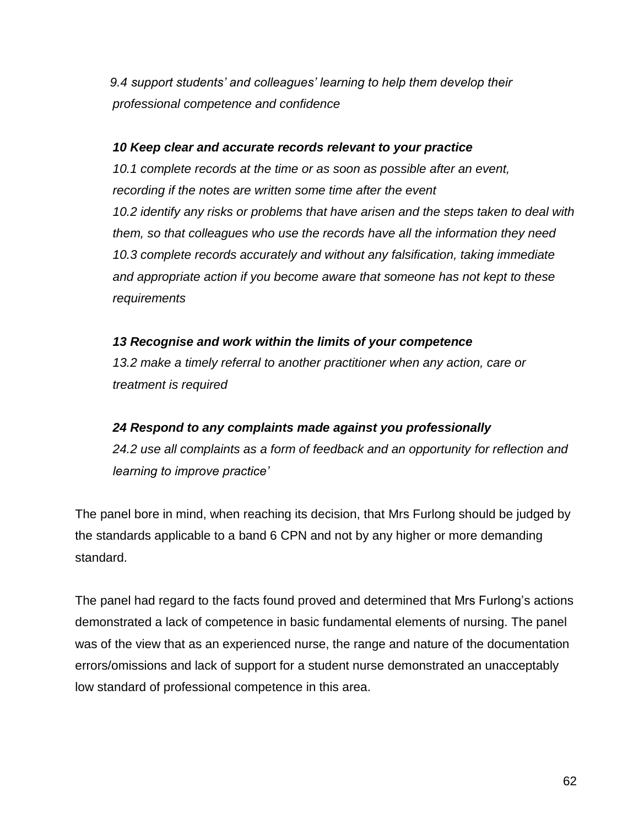*9.4 support students' and colleagues' learning to help them develop their professional competence and confidence*

#### *10 Keep clear and accurate records relevant to your practice*

*10.1 complete records at the time or as soon as possible after an event, recording if the notes are written some time after the event 10.2 identify any risks or problems that have arisen and the steps taken to deal with them, so that colleagues who use the records have all the information they need 10.3 complete records accurately and without any falsification, taking immediate and appropriate action if you become aware that someone has not kept to these requirements*

### *13 Recognise and work within the limits of your competence*

*13.2 make a timely referral to another practitioner when any action, care or treatment is required*

#### *24 Respond to any complaints made against you professionally*

*24.2 use all complaints as a form of feedback and an opportunity for reflection and learning to improve practice'*

The panel bore in mind, when reaching its decision, that Mrs Furlong should be judged by the standards applicable to a band 6 CPN and not by any higher or more demanding standard.

The panel had regard to the facts found proved and determined that Mrs Furlong's actions demonstrated a lack of competence in basic fundamental elements of nursing. The panel was of the view that as an experienced nurse, the range and nature of the documentation errors/omissions and lack of support for a student nurse demonstrated an unacceptably low standard of professional competence in this area.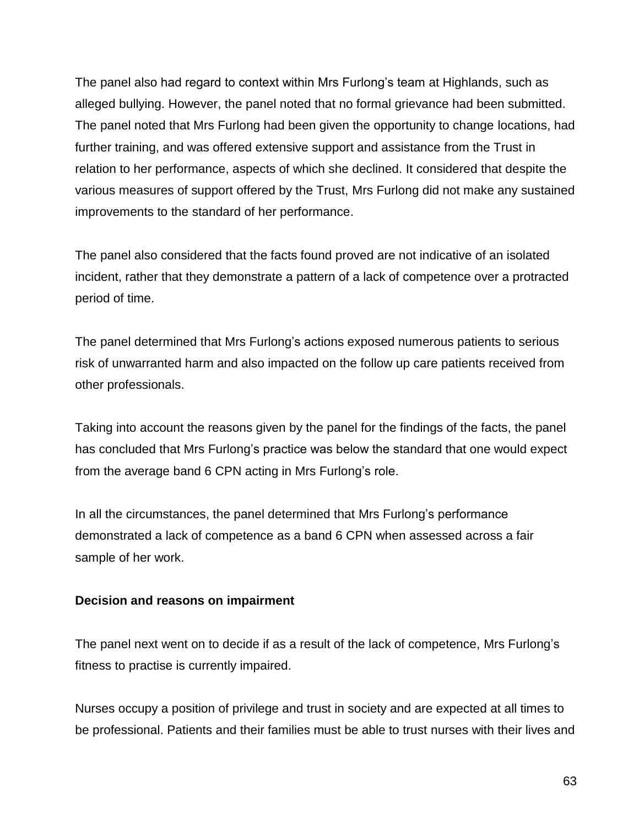The panel also had regard to context within Mrs Furlong's team at Highlands, such as alleged bullying. However, the panel noted that no formal grievance had been submitted. The panel noted that Mrs Furlong had been given the opportunity to change locations, had further training, and was offered extensive support and assistance from the Trust in relation to her performance, aspects of which she declined. It considered that despite the various measures of support offered by the Trust, Mrs Furlong did not make any sustained improvements to the standard of her performance.

The panel also considered that the facts found proved are not indicative of an isolated incident, rather that they demonstrate a pattern of a lack of competence over a protracted period of time.

The panel determined that Mrs Furlong's actions exposed numerous patients to serious risk of unwarranted harm and also impacted on the follow up care patients received from other professionals.

Taking into account the reasons given by the panel for the findings of the facts, the panel has concluded that Mrs Furlong's practice was below the standard that one would expect from the average band 6 CPN acting in Mrs Furlong's role.

In all the circumstances, the panel determined that Mrs Furlong's performance demonstrated a lack of competence as a band 6 CPN when assessed across a fair sample of her work.

### **Decision and reasons on impairment**

The panel next went on to decide if as a result of the lack of competence, Mrs Furlong's fitness to practise is currently impaired.

Nurses occupy a position of privilege and trust in society and are expected at all times to be professional. Patients and their families must be able to trust nurses with their lives and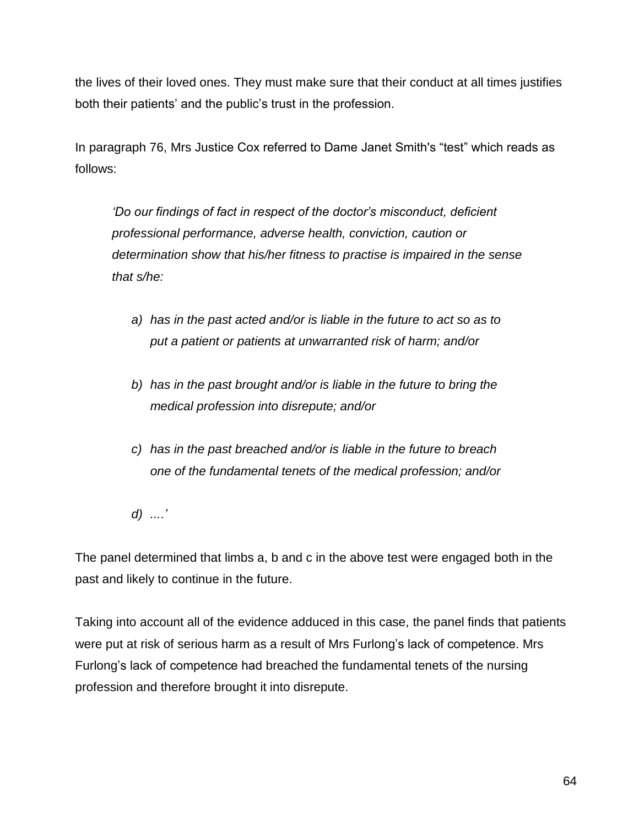the lives of their loved ones. They must make sure that their conduct at all times justifies both their patients' and the public's trust in the profession.

In paragraph 76, Mrs Justice Cox referred to Dame Janet Smith's "test" which reads as follows:

*'Do our findings of fact in respect of the doctor's misconduct, deficient professional performance, adverse health, conviction, caution or determination show that his/her fitness to practise is impaired in the sense that s/he:*

- *a) has in the past acted and/or is liable in the future to act so as to put a patient or patients at unwarranted risk of harm; and/or*
- *b) has in the past brought and/or is liable in the future to bring the medical profession into disrepute; and/or*
- *c) has in the past breached and/or is liable in the future to breach one of the fundamental tenets of the medical profession; and/or*
- *d) ....'*

The panel determined that limbs a, b and c in the above test were engaged both in the past and likely to continue in the future.

Taking into account all of the evidence adduced in this case, the panel finds that patients were put at risk of serious harm as a result of Mrs Furlong's lack of competence. Mrs Furlong's lack of competence had breached the fundamental tenets of the nursing profession and therefore brought it into disrepute.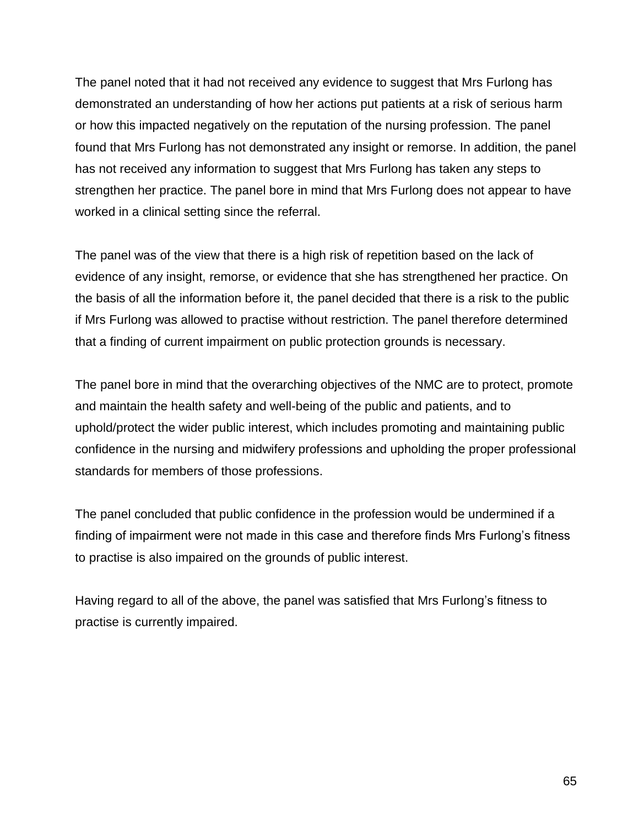The panel noted that it had not received any evidence to suggest that Mrs Furlong has demonstrated an understanding of how her actions put patients at a risk of serious harm or how this impacted negatively on the reputation of the nursing profession. The panel found that Mrs Furlong has not demonstrated any insight or remorse. In addition, the panel has not received any information to suggest that Mrs Furlong has taken any steps to strengthen her practice. The panel bore in mind that Mrs Furlong does not appear to have worked in a clinical setting since the referral.

The panel was of the view that there is a high risk of repetition based on the lack of evidence of any insight, remorse, or evidence that she has strengthened her practice. On the basis of all the information before it, the panel decided that there is a risk to the public if Mrs Furlong was allowed to practise without restriction. The panel therefore determined that a finding of current impairment on public protection grounds is necessary.

The panel bore in mind that the overarching objectives of the NMC are to protect, promote and maintain the health safety and well-being of the public and patients, and to uphold/protect the wider public interest, which includes promoting and maintaining public confidence in the nursing and midwifery professions and upholding the proper professional standards for members of those professions.

The panel concluded that public confidence in the profession would be undermined if a finding of impairment were not made in this case and therefore finds Mrs Furlong's fitness to practise is also impaired on the grounds of public interest.

Having regard to all of the above, the panel was satisfied that Mrs Furlong's fitness to practise is currently impaired.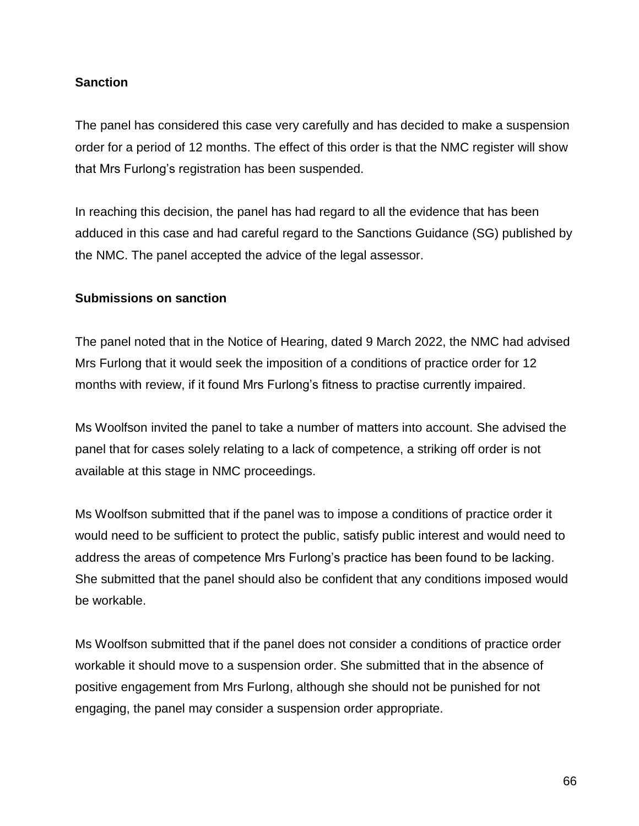### **Sanction**

The panel has considered this case very carefully and has decided to make a suspension order for a period of 12 months. The effect of this order is that the NMC register will show that Mrs Furlong's registration has been suspended.

In reaching this decision, the panel has had regard to all the evidence that has been adduced in this case and had careful regard to the Sanctions Guidance (SG) published by the NMC. The panel accepted the advice of the legal assessor.

#### **Submissions on sanction**

The panel noted that in the Notice of Hearing, dated 9 March 2022, the NMC had advised Mrs Furlong that it would seek the imposition of a conditions of practice order for 12 months with review, if it found Mrs Furlong's fitness to practise currently impaired.

Ms Woolfson invited the panel to take a number of matters into account. She advised the panel that for cases solely relating to a lack of competence, a striking off order is not available at this stage in NMC proceedings.

Ms Woolfson submitted that if the panel was to impose a conditions of practice order it would need to be sufficient to protect the public, satisfy public interest and would need to address the areas of competence Mrs Furlong's practice has been found to be lacking. She submitted that the panel should also be confident that any conditions imposed would be workable.

Ms Woolfson submitted that if the panel does not consider a conditions of practice order workable it should move to a suspension order. She submitted that in the absence of positive engagement from Mrs Furlong, although she should not be punished for not engaging, the panel may consider a suspension order appropriate.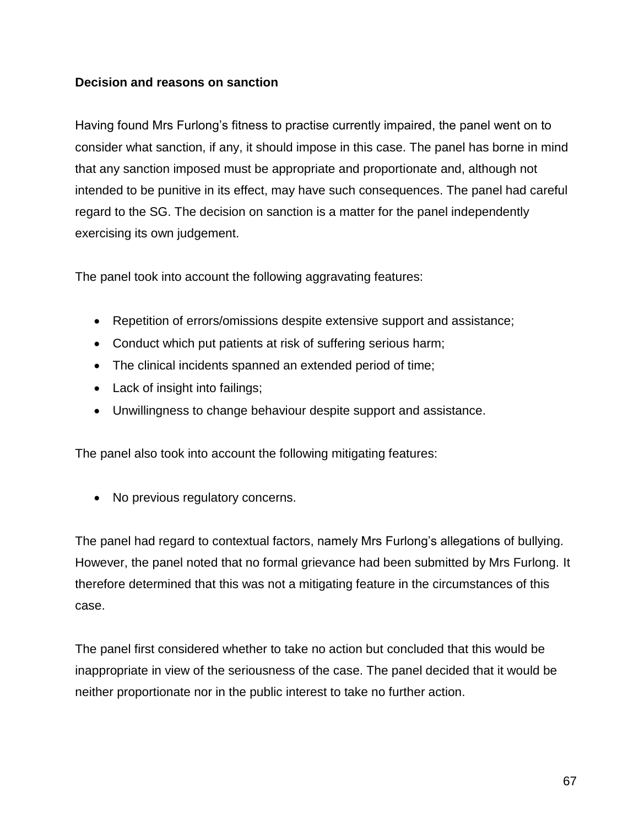#### **Decision and reasons on sanction**

Having found Mrs Furlong's fitness to practise currently impaired, the panel went on to consider what sanction, if any, it should impose in this case. The panel has borne in mind that any sanction imposed must be appropriate and proportionate and, although not intended to be punitive in its effect, may have such consequences. The panel had careful regard to the SG. The decision on sanction is a matter for the panel independently exercising its own judgement.

The panel took into account the following aggravating features:

- Repetition of errors/omissions despite extensive support and assistance;
- Conduct which put patients at risk of suffering serious harm;
- The clinical incidents spanned an extended period of time;
- Lack of insight into failings;
- Unwillingness to change behaviour despite support and assistance.

The panel also took into account the following mitigating features:

• No previous regulatory concerns.

The panel had regard to contextual factors, namely Mrs Furlong's allegations of bullying. However, the panel noted that no formal grievance had been submitted by Mrs Furlong. It therefore determined that this was not a mitigating feature in the circumstances of this case.

The panel first considered whether to take no action but concluded that this would be inappropriate in view of the seriousness of the case. The panel decided that it would be neither proportionate nor in the public interest to take no further action.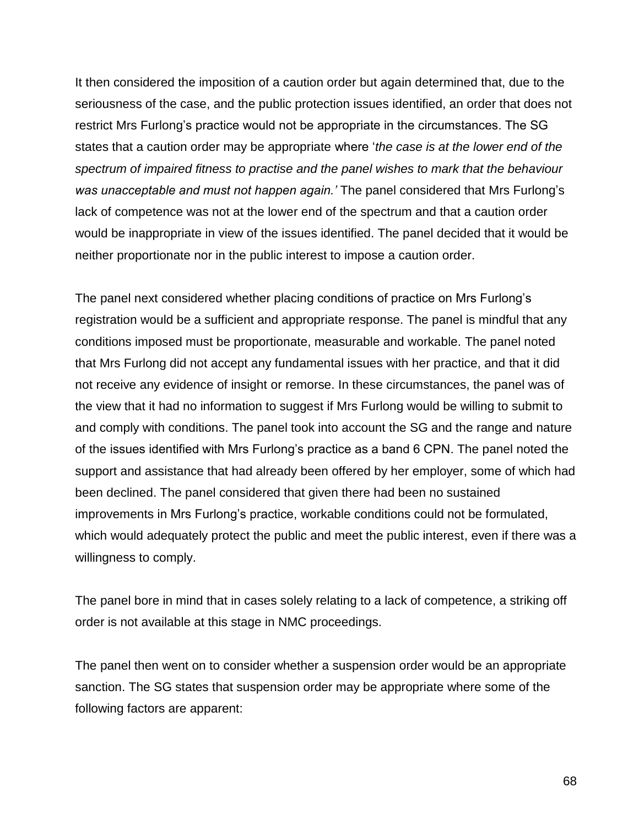It then considered the imposition of a caution order but again determined that, due to the seriousness of the case, and the public protection issues identified, an order that does not restrict Mrs Furlong's practice would not be appropriate in the circumstances. The SG states that a caution order may be appropriate where '*the case is at the lower end of the spectrum of impaired fitness to practise and the panel wishes to mark that the behaviour was unacceptable and must not happen again.'* The panel considered that Mrs Furlong's lack of competence was not at the lower end of the spectrum and that a caution order would be inappropriate in view of the issues identified. The panel decided that it would be neither proportionate nor in the public interest to impose a caution order.

The panel next considered whether placing conditions of practice on Mrs Furlong's registration would be a sufficient and appropriate response. The panel is mindful that any conditions imposed must be proportionate, measurable and workable. The panel noted that Mrs Furlong did not accept any fundamental issues with her practice, and that it did not receive any evidence of insight or remorse. In these circumstances, the panel was of the view that it had no information to suggest if Mrs Furlong would be willing to submit to and comply with conditions. The panel took into account the SG and the range and nature of the issues identified with Mrs Furlong's practice as a band 6 CPN. The panel noted the support and assistance that had already been offered by her employer, some of which had been declined. The panel considered that given there had been no sustained improvements in Mrs Furlong's practice, workable conditions could not be formulated, which would adequately protect the public and meet the public interest, even if there was a willingness to comply.

The panel bore in mind that in cases solely relating to a lack of competence, a striking off order is not available at this stage in NMC proceedings.

The panel then went on to consider whether a suspension order would be an appropriate sanction. The SG states that suspension order may be appropriate where some of the following factors are apparent:

68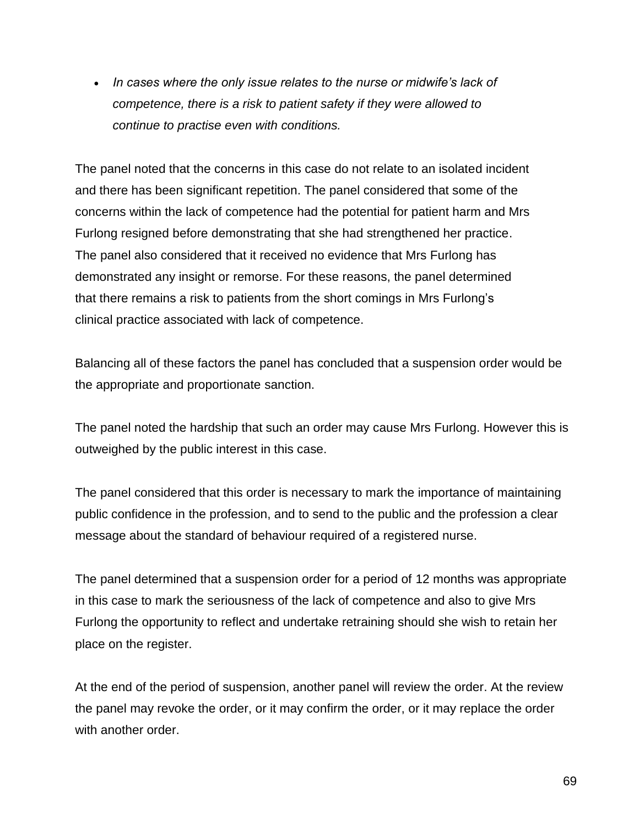*In cases where the only issue relates to the nurse or midwife's lack of competence, there is a risk to patient safety if they were allowed to continue to practise even with conditions.*

The panel noted that the concerns in this case do not relate to an isolated incident and there has been significant repetition. The panel considered that some of the concerns within the lack of competence had the potential for patient harm and Mrs Furlong resigned before demonstrating that she had strengthened her practice. The panel also considered that it received no evidence that Mrs Furlong has demonstrated any insight or remorse. For these reasons, the panel determined that there remains a risk to patients from the short comings in Mrs Furlong's clinical practice associated with lack of competence.

Balancing all of these factors the panel has concluded that a suspension order would be the appropriate and proportionate sanction.

The panel noted the hardship that such an order may cause Mrs Furlong. However this is outweighed by the public interest in this case.

The panel considered that this order is necessary to mark the importance of maintaining public confidence in the profession, and to send to the public and the profession a clear message about the standard of behaviour required of a registered nurse.

The panel determined that a suspension order for a period of 12 months was appropriate in this case to mark the seriousness of the lack of competence and also to give Mrs Furlong the opportunity to reflect and undertake retraining should she wish to retain her place on the register.

At the end of the period of suspension, another panel will review the order. At the review the panel may revoke the order, or it may confirm the order, or it may replace the order with another order.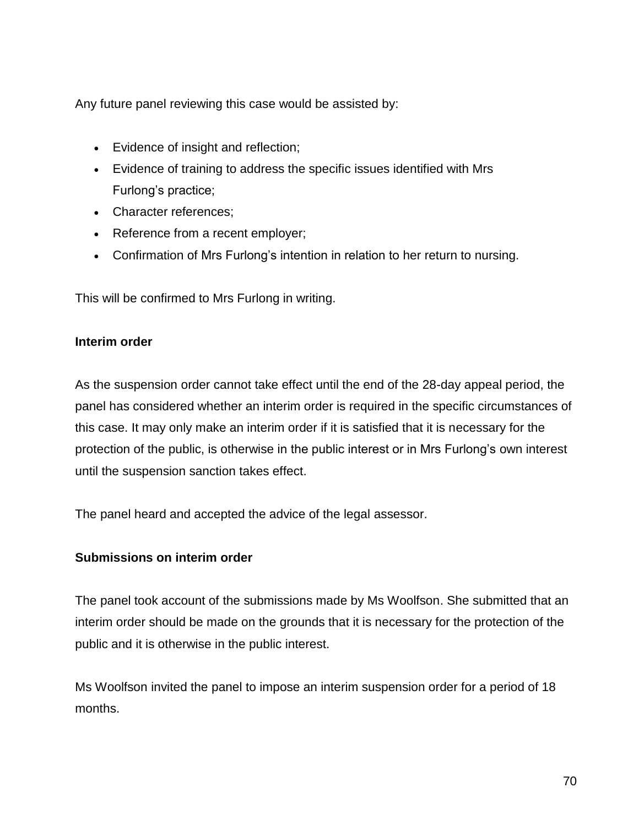Any future panel reviewing this case would be assisted by:

- Evidence of insight and reflection;
- Evidence of training to address the specific issues identified with Mrs Furlong's practice;
- Character references;
- Reference from a recent employer;
- Confirmation of Mrs Furlong's intention in relation to her return to nursing.

This will be confirmed to Mrs Furlong in writing.

#### **Interim order**

As the suspension order cannot take effect until the end of the 28-day appeal period, the panel has considered whether an interim order is required in the specific circumstances of this case. It may only make an interim order if it is satisfied that it is necessary for the protection of the public, is otherwise in the public interest or in Mrs Furlong's own interest until the suspension sanction takes effect.

The panel heard and accepted the advice of the legal assessor.

### **Submissions on interim order**

The panel took account of the submissions made by Ms Woolfson. She submitted that an interim order should be made on the grounds that it is necessary for the protection of the public and it is otherwise in the public interest.

Ms Woolfson invited the panel to impose an interim suspension order for a period of 18 months.